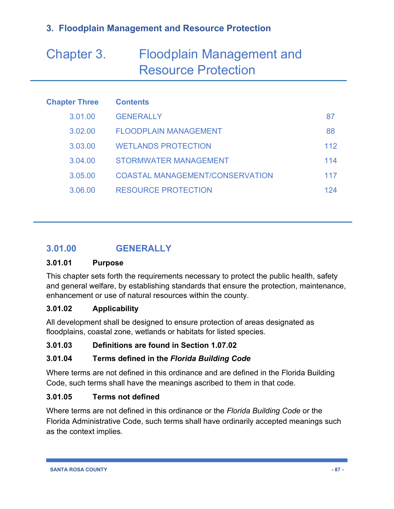# Chapter 3. Floodplain Management and Resource Protection

| <b>Chapter Three</b> | <b>Contents</b>                        |     |
|----------------------|----------------------------------------|-----|
| 3.01.00              | <b>GENERALLY</b>                       | 87  |
| 3.02.00              | <b>FLOODPLAIN MANAGEMENT</b>           | 88  |
| 3.03.00              | <b>WETLANDS PROTECTION</b>             | 112 |
| 3.04.00              | <b>STORMWATER MANAGEMENT</b>           | 114 |
| 3.05.00              | <b>COASTAL MANAGEMENT/CONSERVATION</b> | 117 |
| 3.06.00              | <b>RESOURCE PROTECTION</b>             | 124 |

### **3.01.00 GENERALLY**

#### **3.01.01 Purpose**

This chapter sets forth the requirements necessary to protect the public health, safety and general welfare, by establishing standards that ensure the protection, maintenance, enhancement or use of natural resources within the county.

### **3.01.02 Applicability**

All development shall be designed to ensure protection of areas designated as floodplains, coastal zone, wetlands or habitats for listed species.

### **3.01.03 Definitions are found in Section 1.07.02**

### **3.01.04 Terms defined in the** *Florida Building Code*

Where terms are not defined in this ordinance and are defined in the Florida Building Code, such terms shall have the meanings ascribed to them in that code.

### **3.01.05 Terms not defined**

Where terms are not defined in this ordinance or the *Florida Building Code* or the Florida Administrative Code, such terms shall have ordinarily accepted meanings such as the context implies.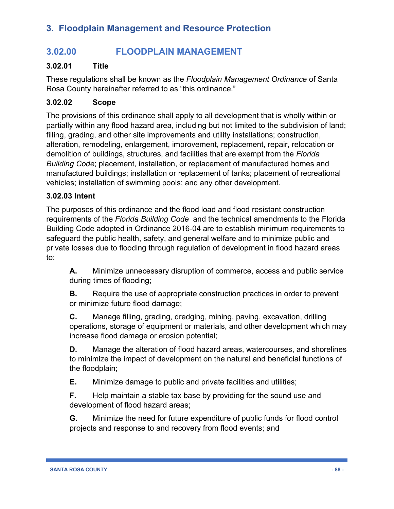### **3.02.00 FLOODPLAIN MANAGEMENT**

### **3.02.01 Title**

These regulations shall be known as the *Floodplain Management Ordinance* of Santa Rosa County hereinafter referred to as "this ordinance."

#### **3.02.02 Scope**

The provisions of this ordinance shall apply to all development that is wholly within or partially within any flood hazard area, including but not limited to the subdivision of land; filling, grading, and other site improvements and utility installations; construction, alteration, remodeling, enlargement, improvement, replacement, repair, relocation or demolition of buildings, structures, and facilities that are exempt from the *Florida Building Code*; placement, installation, or replacement of manufactured homes and manufactured buildings; installation or replacement of tanks; placement of recreational vehicles; installation of swimming pools; and any other development.

#### **3.02.03 Intent**

The purposes of this ordinance and the flood load and flood resistant construction requirements of the *Florida Building Code* and the technical amendments to the Florida Building Code adopted in Ordinance 2016-04 are to establish minimum requirements to safeguard the public health, safety, and general welfare and to minimize public and private losses due to flooding through regulation of development in flood hazard areas to:

**A.** Minimize unnecessary disruption of commerce, access and public service during times of flooding;

**B.** Require the use of appropriate construction practices in order to prevent or minimize future flood damage;

**C.** Manage filling, grading, dredging, mining, paving, excavation, drilling operations, storage of equipment or materials, and other development which may increase flood damage or erosion potential;

**D.** Manage the alteration of flood hazard areas, watercourses, and shorelines to minimize the impact of development on the natural and beneficial functions of the floodplain;

**E.** Minimize damage to public and private facilities and utilities;

**F.** Help maintain a stable tax base by providing for the sound use and development of flood hazard areas;

**G.** Minimize the need for future expenditure of public funds for flood control projects and response to and recovery from flood events; and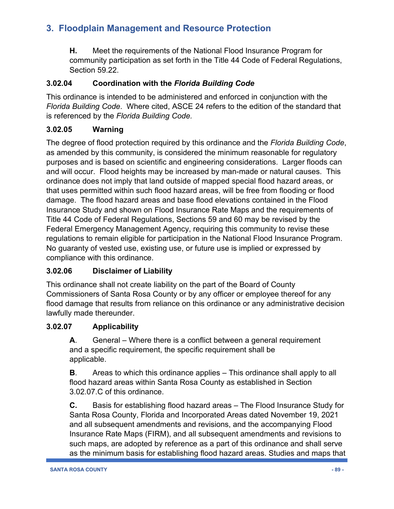**H.** Meet the requirements of the National Flood Insurance Program for community participation as set forth in the Title 44 Code of Federal Regulations, Section 59.22.

### **3.02.04 Coordination with the** *Florida Building Code*

This ordinance is intended to be administered and enforced in conjunction with the *Florida Building Code*. Where cited, ASCE 24 refers to the edition of the standard that is referenced by the *Florida Building Code.*

### **3.02.05 Warning**

The degree of flood protection required by this ordinance and the *Florida Building Code*, as amended by this community, is considered the minimum reasonable for regulatory purposes and is based on scientific and engineering considerations. Larger floods can and will occur. Flood heights may be increased by man-made or natural causes. This ordinance does not imply that land outside of mapped special flood hazard areas, or that uses permitted within such flood hazard areas, will be free from flooding or flood damage. The flood hazard areas and base flood elevations contained in the Flood Insurance Study and shown on Flood Insurance Rate Maps and the requirements of Title 44 Code of Federal Regulations, Sections 59 and 60 may be revised by the Federal Emergency Management Agency, requiring this community to revise these regulations to remain eligible for participation in the National Flood Insurance Program. No guaranty of vested use, existing use, or future use is implied or expressed by compliance with this ordinance.

### **3.02.06 Disclaimer of Liability**

This ordinance shall not create liability on the part of the Board of County Commissioners of Santa Rosa County or by any officer or employee thereof for any flood damage that results from reliance on this ordinance or any administrative decision lawfully made thereunder.

### **3.02.07 Applicability**

**A**. General – Where there is a conflict between a general requirement and a specific requirement, the specific requirement shall be applicable.

**B**. Areas to which this ordinance applies – This ordinance shall apply to all flood hazard areas within Santa Rosa County as established in Section 3.02.07.C of this ordinance.

**C.** Basis for establishing flood hazard areas – The Flood Insurance Study for Santa Rosa County, Florida and Incorporated Areas dated November 19, 2021 and all subsequent amendments and revisions, and the accompanying Flood Insurance Rate Maps (FIRM), and all subsequent amendments and revisions to such maps, are adopted by reference as a part of this ordinance and shall serve as the minimum basis for establishing flood hazard areas. Studies and maps that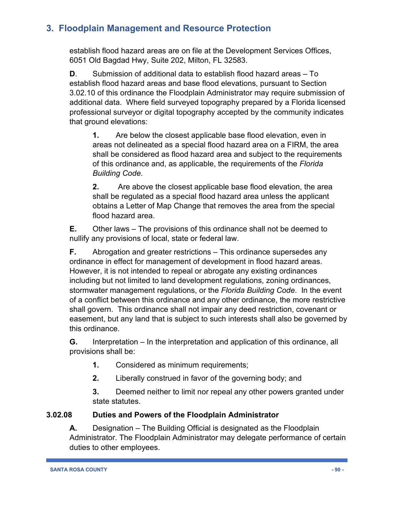establish flood hazard areas are on file at the Development Services Offices, 6051 Old Bagdad Hwy, Suite 202, Milton, FL 32583.

**D**. Submission of additional data to establish flood hazard areas – To establish flood hazard areas and base flood elevations, pursuant to Section 3.02.10 of this ordinance the Floodplain Administrator may require submission of additional data. Where field surveyed topography prepared by a Florida licensed professional surveyor or digital topography accepted by the community indicates that ground elevations:

**1.** Are below the closest applicable base flood elevation, even in areas not delineated as a special flood hazard area on a FIRM, the area shall be considered as flood hazard area and subject to the requirements of this ordinance and, as applicable, the requirements of the *Florida Building Code*.

**2.** Are above the closest applicable base flood elevation, the area shall be regulated as a special flood hazard area unless the applicant obtains a Letter of Map Change that removes the area from the special flood hazard area.

**E.** Other laws – The provisions of this ordinance shall not be deemed to nullify any provisions of local, state or federal law.

**F.** Abrogation and greater restrictions – This ordinance supersedes any ordinance in effect for management of development in flood hazard areas. However, it is not intended to repeal or abrogate any existing ordinances including but not limited to land development regulations, zoning ordinances, stormwater management regulations, or the *Florida Building Code*. In the event of a conflict between this ordinance and any other ordinance, the more restrictive shall govern. This ordinance shall not impair any deed restriction, covenant or easement, but any land that is subject to such interests shall also be governed by this ordinance.

**G.** Interpretation – In the interpretation and application of this ordinance, all provisions shall be:

- **1.** Considered as minimum requirements;
- **2.** Liberally construed in favor of the governing body; and

**3.** Deemed neither to limit nor repeal any other powers granted under state statutes.

### **3.02.08 Duties and Powers of the Floodplain Administrator**

**A.** Designation – The Building Official is designated as the Floodplain Administrator. The Floodplain Administrator may delegate performance of certain duties to other employees.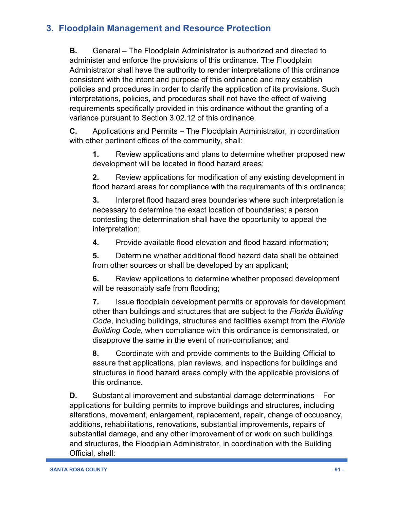**B.** General – The Floodplain Administrator is authorized and directed to administer and enforce the provisions of this ordinance. The Floodplain Administrator shall have the authority to render interpretations of this ordinance consistent with the intent and purpose of this ordinance and may establish policies and procedures in order to clarify the application of its provisions. Such interpretations, policies, and procedures shall not have the effect of waiving requirements specifically provided in this ordinance without the granting of a variance pursuant to Section 3.02.12 of this ordinance.

**C.** Applications and Permits – The Floodplain Administrator, in coordination with other pertinent offices of the community, shall:

**1.** Review applications and plans to determine whether proposed new development will be located in flood hazard areas;

**2.** Review applications for modification of any existing development in flood hazard areas for compliance with the requirements of this ordinance;

**3.** Interpret flood hazard area boundaries where such interpretation is necessary to determine the exact location of boundaries; a person contesting the determination shall have the opportunity to appeal the interpretation;

**4.** Provide available flood elevation and flood hazard information;

**5.** Determine whether additional flood hazard data shall be obtained from other sources or shall be developed by an applicant;

**6.** Review applications to determine whether proposed development will be reasonably safe from flooding;

**7.** Issue floodplain development permits or approvals for development other than buildings and structures that are subject to the *Florida Building Code*, including buildings, structures and facilities exempt from the *Florida Building Code*, when compliance with this ordinance is demonstrated, or disapprove the same in the event of non-compliance; and

**8.** Coordinate with and provide comments to the Building Official to assure that applications, plan reviews, and inspections for buildings and structures in flood hazard areas comply with the applicable provisions of this ordinance.

**D.** Substantial improvement and substantial damage determinations – For applications for building permits to improve buildings and structures, including alterations, movement, enlargement, replacement, repair, change of occupancy, additions, rehabilitations, renovations, substantial improvements, repairs of substantial damage, and any other improvement of or work on such buildings and structures, the Floodplain Administrator, in coordination with the Building Official, shall: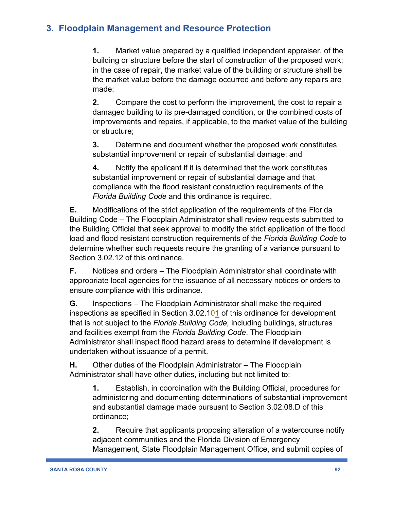**1.** Market value prepared by a qualified independent appraiser, of the building or structure before the start of construction of the proposed work; in the case of repair, the market value of the building or structure shall be the market value before the damage occurred and before any repairs are made;

**2.** Compare the cost to perform the improvement, the cost to repair a damaged building to its pre-damaged condition, or the combined costs of improvements and repairs, if applicable, to the market value of the building or structure;

**3.** Determine and document whether the proposed work constitutes substantial improvement or repair of substantial damage; and

**4.** Notify the applicant if it is determined that the work constitutes substantial improvement or repair of substantial damage and that compliance with the flood resistant construction requirements of the *Florida Building Code* and this ordinance is required.

**E.** Modifications of the strict application of the requirements of the Florida Building Code – The Floodplain Administrator shall review requests submitted to the Building Official that seek approval to modify the strict application of the flood load and flood resistant construction requirements of the *Florida Building Code* to determine whether such requests require the granting of a variance pursuant to Section 3.02.12 of this ordinance.

**F.** Notices and orders – The Floodplain Administrator shall coordinate with appropriate local agencies for the issuance of all necessary notices or orders to ensure compliance with this ordinance.

**G.** Inspections – The Floodplain Administrator shall make the required inspections as specified in Section 3.02.10**1** of this ordinance for development that is not subject to the *Florida Building Code,* including buildings, structures and facilities exempt from the *Florida Building Code*. The Floodplain Administrator shall inspect flood hazard areas to determine if development is undertaken without issuance of a permit.

**H.** Other duties of the Floodplain Administrator – The Floodplain Administrator shall have other duties, including but not limited to:

**1.** Establish, in coordination with the Building Official, procedures for administering and documenting determinations of substantial improvement and substantial damage made pursuant to Section 3.02.08.D of this ordinance;

**2.** Require that applicants proposing alteration of a watercourse notify adjacent communities and the Florida Division of Emergency Management, State Floodplain Management Office, and submit copies of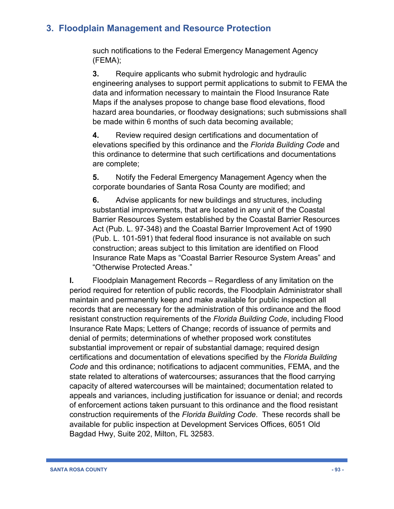such notifications to the Federal Emergency Management Agency (FEMA);

**3.** Require applicants who submit hydrologic and hydraulic engineering analyses to support permit applications to submit to FEMA the data and information necessary to maintain the Flood Insurance Rate Maps if the analyses propose to change base flood elevations, flood hazard area boundaries, or floodway designations; such submissions shall be made within 6 months of such data becoming available;

**4.** Review required design certifications and documentation of elevations specified by this ordinance and the *Florida Building Code* and this ordinance to determine that such certifications and documentations are complete;

**5.** Notify the Federal Emergency Management Agency when the corporate boundaries of Santa Rosa County are modified; and

**6.** Advise applicants for new buildings and structures, including substantial improvements, that are located in any unit of the Coastal Barrier Resources System established by the Coastal Barrier Resources Act (Pub. L. 97-348) and the Coastal Barrier Improvement Act of 1990 (Pub. L. 101-591) that federal flood insurance is not available on such construction; areas subject to this limitation are identified on Flood Insurance Rate Maps as "Coastal Barrier Resource System Areas" and "Otherwise Protected Areas."

**I.** Floodplain Management Records – Regardless of any limitation on the period required for retention of public records, the Floodplain Administrator shall maintain and permanently keep and make available for public inspection all records that are necessary for the administration of this ordinance and the flood resistant construction requirements of the *Florida Building Code*, including Flood Insurance Rate Maps; Letters of Change; records of issuance of permits and denial of permits; determinations of whether proposed work constitutes substantial improvement or repair of substantial damage; required design certifications and documentation of elevations specified by the *Florida Building Code* and this ordinance; notifications to adjacent communities, FEMA, and the state related to alterations of watercourses; assurances that the flood carrying capacity of altered watercourses will be maintained; documentation related to appeals and variances, including justification for issuance or denial; and records of enforcement actions taken pursuant to this ordinance and the flood resistant construction requirements of the *Florida Building Code*. These records shall be available for public inspection at Development Services Offices, 6051 Old Bagdad Hwy, Suite 202, Milton, FL 32583.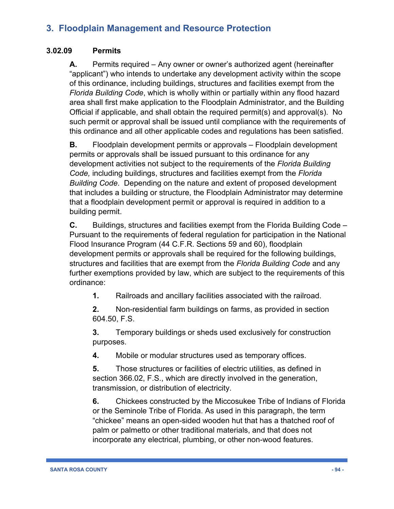### **3.02.09 Permits**

**A.** Permits required – Any owner or owner's authorized agent (hereinafter "applicant") who intends to undertake any development activity within the scope of this ordinance, including buildings, structures and facilities exempt from the *Florida Building Code*, which is wholly within or partially within any flood hazard area shall first make application to the Floodplain Administrator, and the Building Official if applicable, and shall obtain the required permit(s) and approval(s). No such permit or approval shall be issued until compliance with the requirements of this ordinance and all other applicable codes and regulations has been satisfied.

**B.** Floodplain development permits or approvals – Floodplain development permits or approvals shall be issued pursuant to this ordinance for any development activities not subject to the requirements of the *Florida Building Code,* including buildings, structures and facilities exempt from the *Florida Building Code*. Depending on the nature and extent of proposed development that includes a building or structure, the Floodplain Administrator may determine that a floodplain development permit or approval is required in addition to a building permit.

**C.** Buildings, structures and facilities exempt from the Florida Building Code – Pursuant to the requirements of federal regulation for participation in the National Flood Insurance Program (44 C.F.R. Sections 59 and 60), floodplain development permits or approvals shall be required for the following buildings, structures and facilities that are exempt from the *Florida Building Code* and any further exemptions provided by law, which are subject to the requirements of this ordinance:

**1.** Railroads and ancillary facilities associated with the railroad.

**2.** Non-residential farm buildings on farms, as provided in section 604.50, F.S.

**3.** Temporary buildings or sheds used exclusively for construction purposes.

**4.** Mobile or modular structures used as temporary offices.

**5.** Those structures or facilities of electric utilities, as defined in section 366.02, F.S., which are directly involved in the generation, transmission, or distribution of electricity.

**6.** Chickees constructed by the Miccosukee Tribe of Indians of Florida or the Seminole Tribe of Florida. As used in this paragraph, the term "chickee" means an open-sided wooden hut that has a thatched roof of palm or palmetto or other traditional materials, and that does not incorporate any electrical, plumbing, or other non-wood features.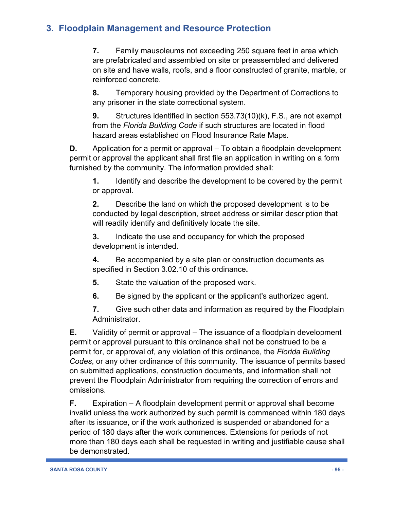**7.** Family mausoleums not exceeding 250 square feet in area which are prefabricated and assembled on site or preassembled and delivered on site and have walls, roofs, and a floor constructed of granite, marble, or reinforced concrete.

**8.** Temporary housing provided by the Department of Corrections to any prisoner in the state correctional system.

**9.** Structures identified in section 553.73(10)(k), F.S., are not exempt from the *Florida Building Code* if such structures are located in flood hazard areas established on Flood Insurance Rate Maps.

**D.** Application for a permit or approval – To obtain a floodplain development permit or approval the applicant shall first file an application in writing on a form furnished by the community. The information provided shall:

**1.** Identify and describe the development to be covered by the permit or approval.

**2.** Describe the land on which the proposed development is to be conducted by legal description, street address or similar description that will readily identify and definitively locate the site.

**3.** Indicate the use and occupancy for which the proposed development is intended.

**4.** Be accompanied by a site plan or construction documents as specified in Section 3.02.10 of this ordinance**.**

- **5.** State the valuation of the proposed work.
- **6.** Be signed by the applicant or the applicant's authorized agent.

**7.** Give such other data and information as required by the Floodplain Administrator.

**E.** Validity of permit or approval – The issuance of a floodplain development permit or approval pursuant to this ordinance shall not be construed to be a permit for, or approval of, any violation of this ordinance, the *Florida Building Codes*, or any other ordinance of this community. The issuance of permits based on submitted applications, construction documents, and information shall not prevent the Floodplain Administrator from requiring the correction of errors and omissions.

**F.** Expiration – A floodplain development permit or approval shall become invalid unless the work authorized by such permit is commenced within 180 days after its issuance, or if the work authorized is suspended or abandoned for a period of 180 days after the work commences. Extensions for periods of not more than 180 days each shall be requested in writing and justifiable cause shall be demonstrated.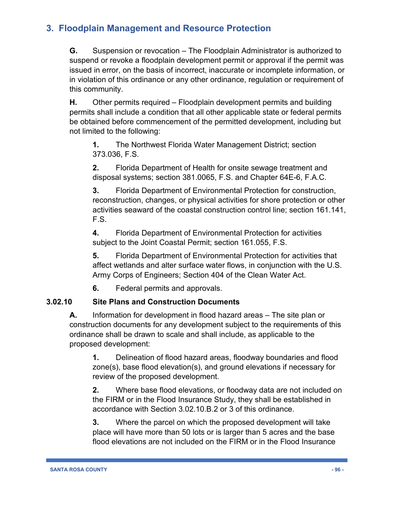**G.** Suspension or revocation – The Floodplain Administrator is authorized to suspend or revoke a floodplain development permit or approval if the permit was issued in error, on the basis of incorrect, inaccurate or incomplete information, or in violation of this ordinance or any other ordinance, regulation or requirement of this community.

**H.** Other permits required – Floodplain development permits and building permits shall include a condition that all other applicable state or federal permits be obtained before commencement of the permitted development, including but not limited to the following:

**1.** The Northwest Florida Water Management District; section 373.036, F.S.

**2.** Florida Department of Health for onsite sewage treatment and disposal systems; section 381.0065, F.S. and Chapter 64E-6, F.A.C.

**3.** Florida Department of Environmental Protection for construction, reconstruction, changes, or physical activities for shore protection or other activities seaward of the coastal construction control line; section 161.141, F.S.

**4.** Florida Department of Environmental Protection for activities subject to the Joint Coastal Permit; section 161.055, F.S.

**5.** Florida Department of Environmental Protection for activities that affect wetlands and alter surface water flows, in conjunction with the U.S. Army Corps of Engineers; Section 404 of the Clean Water Act.

**6.** Federal permits and approvals.

### **3.02.10 Site Plans and Construction Documents**

**A.** Information for development in flood hazard areas – The site plan or construction documents for any development subject to the requirements of this ordinance shall be drawn to scale and shall include, as applicable to the proposed development:

**1.** Delineation of flood hazard areas, floodway boundaries and flood zone(s), base flood elevation(s), and ground elevations if necessary for review of the proposed development.

**2.** Where base flood elevations, or floodway data are not included on the FIRM or in the Flood Insurance Study, they shall be established in accordance with Section 3.02.10.B.2 or 3 of this ordinance.

**3.** Where the parcel on which the proposed development will take place will have more than 50 lots or is larger than 5 acres and the base flood elevations are not included on the FIRM or in the Flood Insurance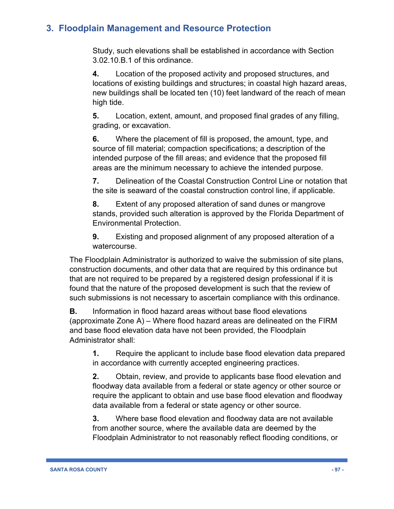Study, such elevations shall be established in accordance with Section 3.02.10.B.1 of this ordinance.

**4.** Location of the proposed activity and proposed structures, and locations of existing buildings and structures; in coastal high hazard areas, new buildings shall be located ten (10) feet landward of the reach of mean high tide.

**5.** Location, extent, amount, and proposed final grades of any filling, grading, or excavation.

**6.** Where the placement of fill is proposed, the amount, type, and source of fill material; compaction specifications; a description of the intended purpose of the fill areas; and evidence that the proposed fill areas are the minimum necessary to achieve the intended purpose.

**7.** Delineation of the Coastal Construction Control Line or notation that the site is seaward of the coastal construction control line, if applicable.

**8.** Extent of any proposed alteration of sand dunes or mangrove stands, provided such alteration is approved by the Florida Department of Environmental Protection.

**9.** Existing and proposed alignment of any proposed alteration of a watercourse.

The Floodplain Administrator is authorized to waive the submission of site plans, construction documents, and other data that are required by this ordinance but that are not required to be prepared by a registered design professional if it is found that the nature of the proposed development is such that the review of such submissions is not necessary to ascertain compliance with this ordinance.

**B.** Information in flood hazard areas without base flood elevations (approximate Zone A) – Where flood hazard areas are delineated on the FIRM and base flood elevation data have not been provided, the Floodplain Administrator shall:

**1.** Require the applicant to include base flood elevation data prepared in accordance with currently accepted engineering practices.

**2.** Obtain, review, and provide to applicants base flood elevation and floodway data available from a federal or state agency or other source or require the applicant to obtain and use base flood elevation and floodway data available from a federal or state agency or other source.

**3.** Where base flood elevation and floodway data are not available from another source, where the available data are deemed by the Floodplain Administrator to not reasonably reflect flooding conditions, or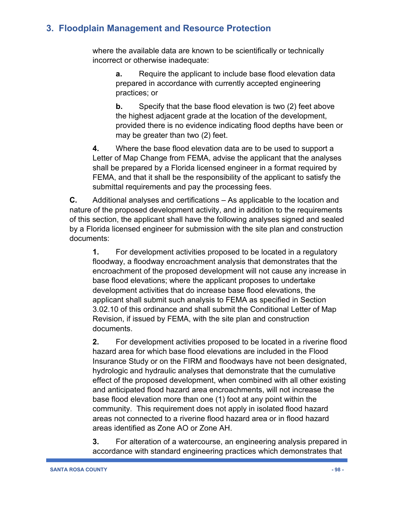where the available data are known to be scientifically or technically incorrect or otherwise inadequate:

**a.** Require the applicant to include base flood elevation data prepared in accordance with currently accepted engineering practices; or

**b.** Specify that the base flood elevation is two (2) feet above the highest adjacent grade at the location of the development, provided there is no evidence indicating flood depths have been or may be greater than two (2) feet.

**4.** Where the base flood elevation data are to be used to support a Letter of Map Change from FEMA, advise the applicant that the analyses shall be prepared by a Florida licensed engineer in a format required by FEMA, and that it shall be the responsibility of the applicant to satisfy the submittal requirements and pay the processing fees.

**C.** Additional analyses and certifications – As applicable to the location and nature of the proposed development activity, and in addition to the requirements of this section, the applicant shall have the following analyses signed and sealed by a Florida licensed engineer for submission with the site plan and construction documents:

**1.** For development activities proposed to be located in a regulatory floodway, a floodway encroachment analysis that demonstrates that the encroachment of the proposed development will not cause any increase in base flood elevations; where the applicant proposes to undertake development activities that do increase base flood elevations, the applicant shall submit such analysis to FEMA as specified in Section 3.02.10 of this ordinance and shall submit the Conditional Letter of Map Revision, if issued by FEMA, with the site plan and construction documents.

**2.** For development activities proposed to be located in a riverine flood hazard area for which base flood elevations are included in the Flood Insurance Study or on the FIRM and floodways have not been designated, hydrologic and hydraulic analyses that demonstrate that the cumulative effect of the proposed development, when combined with all other existing and anticipated flood hazard area encroachments, will not increase the base flood elevation more than one (1) foot at any point within the community. This requirement does not apply in isolated flood hazard areas not connected to a riverine flood hazard area or in flood hazard areas identified as Zone AO or Zone AH.

**3.** For alteration of a watercourse, an engineering analysis prepared in accordance with standard engineering practices which demonstrates that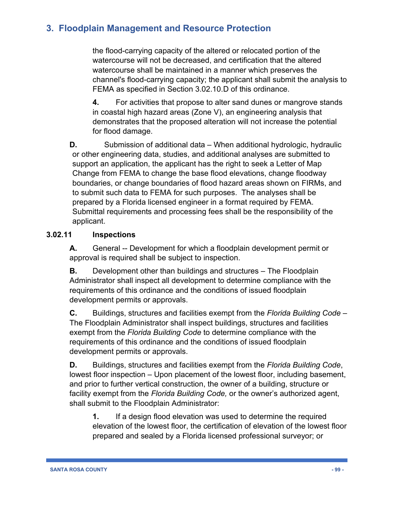the flood-carrying capacity of the altered or relocated portion of the watercourse will not be decreased, and certification that the altered watercourse shall be maintained in a manner which preserves the channel's flood-carrying capacity; the applicant shall submit the analysis to FEMA as specified in Section 3.02.10.D of this ordinance.

**4.** For activities that propose to alter sand dunes or mangrove stands in coastal high hazard areas (Zone V), an engineering analysis that demonstrates that the proposed alteration will not increase the potential for flood damage.

**D.** Submission of additional data – When additional hydrologic, hydraulic or other engineering data, studies, and additional analyses are submitted to support an application, the applicant has the right to seek a Letter of Map Change from FEMA to change the base flood elevations, change floodway boundaries, or change boundaries of flood hazard areas shown on FIRMs, and to submit such data to FEMA for such purposes. The analyses shall be prepared by a Florida licensed engineer in a format required by FEMA. Submittal requirements and processing fees shall be the responsibility of the applicant.

### **3.02.11 Inspections**

**A.** General -- Development for which a floodplain development permit or approval is required shall be subject to inspection.

**B.** Development other than buildings and structures – The Floodplain Administrator shall inspect all development to determine compliance with the requirements of this ordinance and the conditions of issued floodplain development permits or approvals.

**C.** Buildings, structures and facilities exempt from the *Florida Building Code* – The Floodplain Administrator shall inspect buildings, structures and facilities exempt from the *Florida Building Code* to determine compliance with the requirements of this ordinance and the conditions of issued floodplain development permits or approvals.

**D.** Buildings, structures and facilities exempt from the *Florida Building Code*, lowest floor inspection – Upon placement of the lowest floor, including basement, and prior to further vertical construction, the owner of a building, structure or facility exempt from the *Florida Building Code,* or the owner's authorized agent, shall submit to the Floodplain Administrator:

**1.** If a design flood elevation was used to determine the required elevation of the lowest floor, the certification of elevation of the lowest floor prepared and sealed by a Florida licensed professional surveyor; or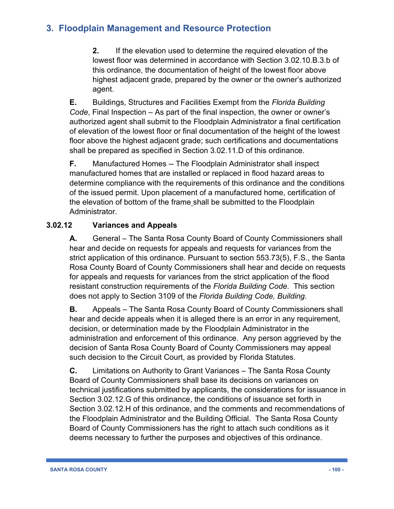**2.** If the elevation used to determine the required elevation of the lowest floor was determined in accordance with Section 3.02.10.B.3.b of this ordinance, the documentation of height of the lowest floor above highest adjacent grade, prepared by the owner or the owner's authorized agent.

**E.** Buildings, Structures and Facilities Exempt from the *Florida Building Code*, Final Inspection – As part of the final inspection, the owner or owner's authorized agent shall submit to the Floodplain Administrator a final certification of elevation of the lowest floor or final documentation of the height of the lowest floor above the highest adjacent grade; such certifications and documentations shall be prepared as specified in Section 3.02.11.D of this ordinance.

**F.** Manufactured Homes -- The Floodplain Administrator shall inspect manufactured homes that are installed or replaced in flood hazard areas to determine compliance with the requirements of this ordinance and the conditions of the issued permit. Upon placement of a manufactured home, certification of the elevation of bottom of the frame shall be submitted to the Floodplain Administrator.

### **3.02.12 Variances and Appeals**

**A.** General – The Santa Rosa County Board of County Commissioners shall hear and decide on requests for appeals and requests for variances from the strict application of this ordinance. Pursuant to section 553.73(5), F.S., the Santa Rosa County Board of County Commissioners shall hear and decide on requests for appeals and requests for variances from the strict application of the flood resistant construction requirements of the *Florida Building Code*. This section does not apply to Section 3109 of the *Florida Building Code, Building.*

**B.** Appeals – The Santa Rosa County Board of County Commissioners shall hear and decide appeals when it is alleged there is an error in any requirement, decision, or determination made by the Floodplain Administrator in the administration and enforcement of this ordinance. Any person aggrieved by the decision of Santa Rosa County Board of County Commissioners may appeal such decision to the Circuit Court, as provided by Florida Statutes.

**C.** Limitations on Authority to Grant Variances – The Santa Rosa County Board of County Commissioners shall base its decisions on variances on technical justifications submitted by applicants, the considerations for issuance in Section 3.02.12.G of this ordinance, the conditions of issuance set forth in Section 3.02.12.H of this ordinance, and the comments and recommendations of the Floodplain Administrator and the Building Official. The Santa Rosa County Board of County Commissioners has the right to attach such conditions as it deems necessary to further the purposes and objectives of this ordinance.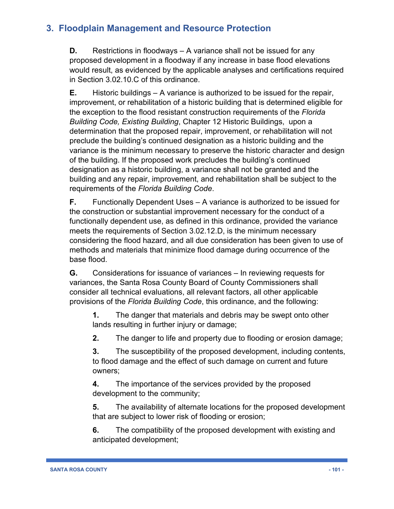**D.** Restrictions in floodways – A variance shall not be issued for any proposed development in a floodway if any increase in base flood elevations would result, as evidenced by the applicable analyses and certifications required in Section 3.02.10.C of this ordinance.

**E.** Historic buildings – A variance is authorized to be issued for the repair, improvement, or rehabilitation of a historic building that is determined eligible for the exception to the flood resistant construction requirements of the *Florida Building Code, Existing Building*, Chapter 12 Historic Buildings, upon a determination that the proposed repair, improvement, or rehabilitation will not preclude the building's continued designation as a historic building and the variance is the minimum necessary to preserve the historic character and design of the building. If the proposed work precludes the building's continued designation as a historic building, a variance shall not be granted and the building and any repair, improvement, and rehabilitation shall be subject to the requirements of the *Florida Building Code*.

**F.** Functionally Dependent Uses – A variance is authorized to be issued for the construction or substantial improvement necessary for the conduct of a functionally dependent use, as defined in this ordinance, provided the variance meets the requirements of Section 3.02.12.D, is the minimum necessary considering the flood hazard, and all due consideration has been given to use of methods and materials that minimize flood damage during occurrence of the base flood.

**G.** Considerations for issuance of variances – In reviewing requests for variances, the Santa Rosa County Board of County Commissioners shall consider all technical evaluations, all relevant factors, all other applicable provisions of the *Florida Building Code*, this ordinance, and the following:

**1.** The danger that materials and debris may be swept onto other lands resulting in further injury or damage;

**2.** The danger to life and property due to flooding or erosion damage;

**3.** The susceptibility of the proposed development, including contents, to flood damage and the effect of such damage on current and future owners;

**4.** The importance of the services provided by the proposed development to the community;

**5.** The availability of alternate locations for the proposed development that are subject to lower risk of flooding or erosion;

**6.** The compatibility of the proposed development with existing and anticipated development;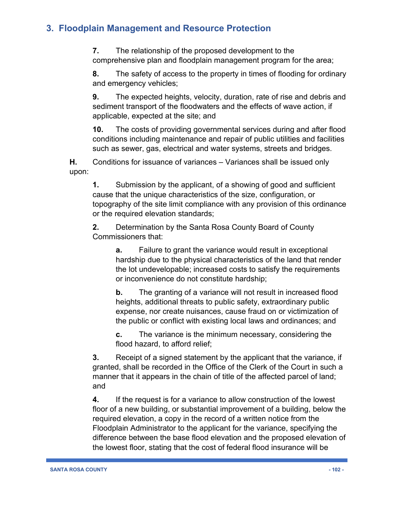**7.** The relationship of the proposed development to the comprehensive plan and floodplain management program for the area;

**8.** The safety of access to the property in times of flooding for ordinary and emergency vehicles;

**9.** The expected heights, velocity, duration, rate of rise and debris and sediment transport of the floodwaters and the effects of wave action, if applicable, expected at the site; and

**10.** The costs of providing governmental services during and after flood conditions including maintenance and repair of public utilities and facilities such as sewer, gas, electrical and water systems, streets and bridges.

**H.** Conditions for issuance of variances – Variances shall be issued only upon:

**1.** Submission by the applicant, of a showing of good and sufficient cause that the unique characteristics of the size, configuration, or topography of the site limit compliance with any provision of this ordinance or the required elevation standards;

**2.** Determination by the Santa Rosa County Board of County Commissioners that:

> **a.** Failure to grant the variance would result in exceptional hardship due to the physical characteristics of the land that render the lot undevelopable; increased costs to satisfy the requirements or inconvenience do not constitute hardship;

> **b.** The granting of a variance will not result in increased flood heights, additional threats to public safety, extraordinary public expense, nor create nuisances, cause fraud on or victimization of the public or conflict with existing local laws and ordinances; and

**c.** The variance is the minimum necessary, considering the flood hazard, to afford relief;

**3.** Receipt of a signed statement by the applicant that the variance, if granted, shall be recorded in the Office of the Clerk of the Court in such a manner that it appears in the chain of title of the affected parcel of land; and

**4.** If the request is for a variance to allow construction of the lowest floor of a new building, or substantial improvement of a building, below the required elevation, a copy in the record of a written notice from the Floodplain Administrator to the applicant for the variance, specifying the difference between the base flood elevation and the proposed elevation of the lowest floor, stating that the cost of federal flood insurance will be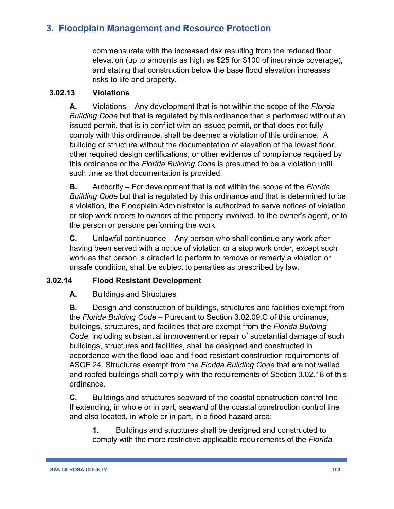commensurate with the increased risk resulting from the reduced floor elevation (up to amounts as high as \$25 for \$100 of insurance coverage), and stating that construction below the base flood elevation increases risks to life and property.

### **3.02.13 Violations**

**A.** Violations – Any development that is not within the scope of the *Florida Building Code* but that is regulated by this ordinance that is performed without an issued permit, that is in conflict with an issued permit, or that does not fully comply with this ordinance, shall be deemed a violation of this ordinance. A building or structure without the documentation of elevation of the lowest floor, other required design certifications, or other evidence of compliance required by this ordinance or the *Florida Building Code* is presumed to be a violation until such time as that documentation is provided.

**B.** Authority – For development that is not within the scope of the *Florida Building Code* but that is regulated by this ordinance and that is determined to be a violation, the Floodplain Administrator is authorized to serve notices of violation or stop work orders to owners of the property involved, to the owner's agent, or to the person or persons performing the work.

**C.** Unlawful continuance – Any person who shall continue any work after having been served with a notice of violation or a stop work order, except such work as that person is directed to perform to remove or remedy a violation or unsafe condition, shall be subject to penalties as prescribed by law.

### **3.02.14 Flood Resistant Development**

### **A.** Buildings and Structures

**B.** Design and construction of buildings, structures and facilities exempt from the *Florida Building Code* – Pursuant to Section 3.02.09.C of this ordinance, buildings, structures, and facilities that are exempt from the *Florida Building Code*, including substantial improvement or repair of substantial damage of such buildings, structures and facilities, shall be designed and constructed in accordance with the flood load and flood resistant construction requirements of ASCE 24. Structures exempt from the *Florida Building Code* that are not walled and roofed buildings shall comply with the requirements of Section 3.02.18 of this ordinance.

**C.** Buildings and structures seaward of the coastal construction control line – If extending, in whole or in part, seaward of the coastal construction control line and also located, in whole or in part, in a flood hazard area:

**1.** Buildings and structures shall be designed and constructed to comply with the more restrictive applicable requirements of the *Florida*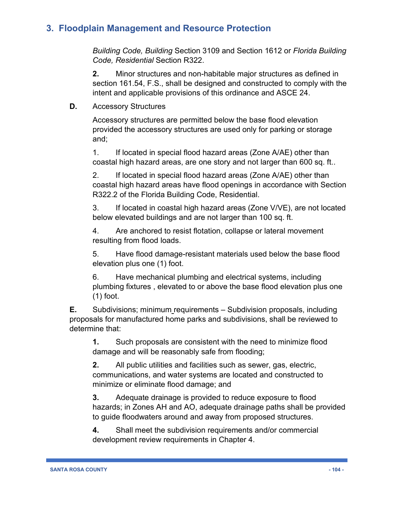*Building Code, Building* Section 3109 and Section 1612 or *Florida Building Code, Residential* Section R322.

**2.** Minor structures and non-habitable major structures as defined in section 161.54, F.S., shall be designed and constructed to comply with the intent and applicable provisions of this ordinance and ASCE 24.

**D.** Accessory Structures

Accessory structures are permitted below the base flood elevation provided the accessory structures are used only for parking or storage and;

1. If located in special flood hazard areas (Zone A/AE) other than coastal high hazard areas, are one story and not larger than 600 sq. ft..

2. If located in special flood hazard areas (Zone A/AE) other than coastal high hazard areas have flood openings in accordance with Section R322.2 of the Florida Building Code, Residential.

3. If located in coastal high hazard areas (Zone V/VE), are not located below elevated buildings and are not larger than 100 sq. ft.

4. Are anchored to resist flotation, collapse or lateral movement resulting from flood loads.

5. Have flood damage-resistant materials used below the base flood elevation plus one (1) foot.

6. Have mechanical plumbing and electrical systems, including plumbing fixtures , elevated to or above the base flood elevation plus one (1) foot.

**E.** Subdivisions; minimum requirements – Subdivision proposals, including proposals for manufactured home parks and subdivisions, shall be reviewed to determine that:

**1.** Such proposals are consistent with the need to minimize flood damage and will be reasonably safe from flooding;

**2.** All public utilities and facilities such as sewer, gas, electric, communications, and water systems are located and constructed to minimize or eliminate flood damage; and

**3.** Adequate drainage is provided to reduce exposure to flood hazards; in Zones AH and AO, adequate drainage paths shall be provided to guide floodwaters around and away from proposed structures.

**4.** Shall meet the subdivision requirements and/or commercial development review requirements in Chapter 4.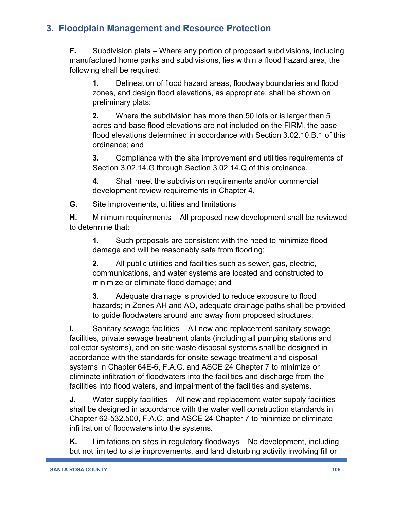**F.** Subdivision plats – Where any portion of proposed subdivisions, including manufactured home parks and subdivisions, lies within a flood hazard area, the following shall be required:

**1.** Delineation of flood hazard areas, floodway boundaries and flood zones, and design flood elevations, as appropriate, shall be shown on preliminary plats;

**2.** Where the subdivision has more than 50 lots or is larger than 5 acres and base flood elevations are not included on the FIRM, the base flood elevations determined in accordance with Section 3.02.10.B.1 of this ordinance; and

**3.** Compliance with the site improvement and utilities requirements of Section 3.02.14.G through Section 3.02.14.Q of this ordinance.

**4.** Shall meet the subdivision requirements and/or commercial development review requirements in Chapter 4.

**G.** Site improvements, utilities and limitations

**H.** Minimum requirements – All proposed new development shall be reviewed to determine that:

**1.** Such proposals are consistent with the need to minimize flood damage and will be reasonably safe from flooding;

**2.** All public utilities and facilities such as sewer, gas, electric, communications, and water systems are located and constructed to minimize or eliminate flood damage; and

**3.** Adequate drainage is provided to reduce exposure to flood hazards; in Zones AH and AO, adequate drainage paths shall be provided to guide floodwaters around and away from proposed structures.

**I.** Sanitary sewage facilities – All new and replacement sanitary sewage facilities, private sewage treatment plants (including all pumping stations and collector systems), and on-site waste disposal systems shall be designed in accordance with the standards for onsite sewage treatment and disposal systems in Chapter 64E-6, F.A.C. and ASCE 24 Chapter 7 to minimize or eliminate infiltration of floodwaters into the facilities and discharge from the facilities into flood waters, and impairment of the facilities and systems.

**J.** Water supply facilities – All new and replacement water supply facilities shall be designed in accordance with the water well construction standards in Chapter 62-532.500, F.A.C. and ASCE 24 Chapter 7 to minimize or eliminate infiltration of floodwaters into the systems.

**K.** Limitations on sites in regulatory floodways – No development, including but not limited to site improvements, and land disturbing activity involving fill or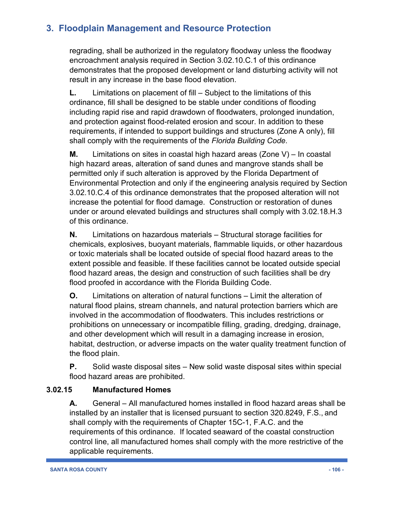regrading, shall be authorized in the regulatory floodway unless the floodway encroachment analysis required in Section 3.02.10.C.1 of this ordinance demonstrates that the proposed development or land disturbing activity will not result in any increase in the base flood elevation.

**L.** Limitations on placement of fill – Subject to the limitations of this ordinance, fill shall be designed to be stable under conditions of flooding including rapid rise and rapid drawdown of floodwaters, prolonged inundation, and protection against flood-related erosion and scour. In addition to these requirements, if intended to support buildings and structures (Zone A only), fill shall comply with the requirements of the *Florida Building Code*.

**M.** Limitations on sites in coastal high hazard areas (Zone V) – In coastal high hazard areas, alteration of sand dunes and mangrove stands shall be permitted only if such alteration is approved by the Florida Department of Environmental Protection and only if the engineering analysis required by Section 3.02.10.C.4 of this ordinance demonstrates that the proposed alteration will not increase the potential for flood damage. Construction or restoration of dunes under or around elevated buildings and structures shall comply with 3.02.18.H.3 of this ordinance.

**N.** Limitations on hazardous materials – Structural storage facilities for chemicals, explosives, buoyant materials, flammable liquids, or other hazardous or toxic materials shall be located outside of special flood hazard areas to the extent possible and feasible. If these facilities cannot be located outside special flood hazard areas, the design and construction of such facilities shall be dry flood proofed in accordance with the Florida Building Code.

**O.** Limitations on alteration of natural functions – Limit the alteration of natural flood plains, stream channels, and natural protection barriers which are involved in the accommodation of floodwaters. This includes restrictions or prohibitions on unnecessary or incompatible filling, grading, dredging, drainage, and other development which will result in a damaging increase in erosion, habitat, destruction, or adverse impacts on the water quality treatment function of the flood plain.

**P.** Solid waste disposal sites – New solid waste disposal sites within special flood hazard areas are prohibited.

### **3.02.15 Manufactured Homes**

**A.** General – All manufactured homes installed in flood hazard areas shall be installed by an installer that is licensed pursuant to section 320.8249, F.S., and shall comply with the requirements of Chapter 15C-1, F.A.C. and the requirements of this ordinance. If located seaward of the coastal construction control line, all manufactured homes shall comply with the more restrictive of the applicable requirements.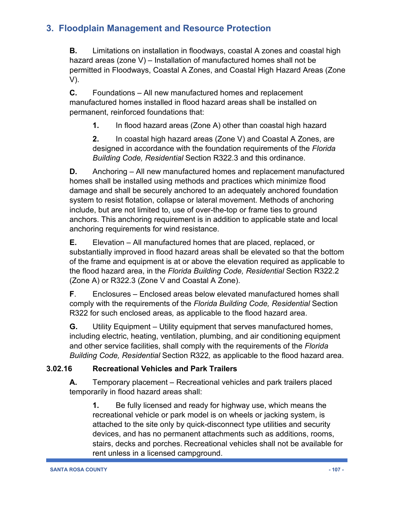**B.** Limitations on installation in floodways, coastal A zones and coastal high hazard areas (zone V) – Installation of manufactured homes shall not be permitted in Floodways, Coastal A Zones, and Coastal High Hazard Areas (Zone V).

**C.** Foundations – All new manufactured homes and replacement manufactured homes installed in flood hazard areas shall be installed on permanent, reinforced foundations that:

**1.** In flood hazard areas (Zone A) other than coastal high hazard

**2.** In coastal high hazard areas (Zone V) and Coastal A Zones, are designed in accordance with the foundation requirements of the *Florida Building Code, Residential* Section R322.3 and this ordinance.

**D.** Anchoring – All new manufactured homes and replacement manufactured homes shall be installed using methods and practices which minimize flood damage and shall be securely anchored to an adequately anchored foundation system to resist flotation, collapse or lateral movement. Methods of anchoring include, but are not limited to, use of over-the-top or frame ties to ground anchors. This anchoring requirement is in addition to applicable state and local anchoring requirements for wind resistance.

**E.** Elevation – All manufactured homes that are placed, replaced, or substantially improved in flood hazard areas shall be elevated so that the bottom of the frame and equipment is at or above the elevation required as applicable to the flood hazard area, in the *Florida Building Code, Residential* Section R322.2 (Zone A) or R322.3 (Zone V and Coastal A Zone).

**F**. Enclosures – Enclosed areas below elevated manufactured homes shall comply with the requirements of the *Florida Building Code, Residential* Section R322 for such enclosed areas*,* as applicable to the flood hazard area.

**G.** Utility Equipment – Utility equipment that serves manufactured homes, including electric, heating, ventilation, plumbing, and air conditioning equipment and other service facilities, shall comply with the requirements of the *Florida Building Code, Residential* Section R322*,* as applicable to the flood hazard area.

### **3.02.16 Recreational Vehicles and Park Trailers**

**A.** Temporary placement – Recreational vehicles and park trailers placed temporarily in flood hazard areas shall:

**1.** Be fully licensed and ready for highway use, which means the recreational vehicle or park model is on wheels or jacking system, is attached to the site only by quick-disconnect type utilities and security devices, and has no permanent attachments such as additions, rooms, stairs, decks and porches. Recreational vehicles shall not be available for rent unless in a licensed campground.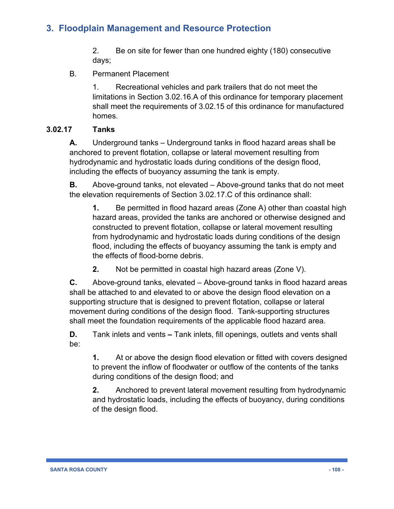2. Be on site for fewer than one hundred eighty (180) consecutive days;

B. Permanent Placement

1. Recreational vehicles and park trailers that do not meet the limitations in Section 3.02.16.A of this ordinance for temporary placement shall meet the requirements of 3.02.15 of this ordinance for manufactured homes.

### **3.02.17 Tanks**

**A.** Underground tanks – Underground tanks in flood hazard areas shall be anchored to prevent flotation, collapse or lateral movement resulting from hydrodynamic and hydrostatic loads during conditions of the design flood, including the effects of buoyancy assuming the tank is empty.

**B.** Above-ground tanks, not elevated – Above-ground tanks that do not meet the elevation requirements of Section 3.02.17.C of this ordinance shall:

**1.** Be permitted in flood hazard areas (Zone A) other than coastal high hazard areas, provided the tanks are anchored or otherwise designed and constructed to prevent flotation, collapse or lateral movement resulting from hydrodynamic and hydrostatic loads during conditions of the design flood, including the effects of buoyancy assuming the tank is empty and the effects of flood-borne debris.

**2.** Not be permitted in coastal high hazard areas (Zone V).

**C.** Above-ground tanks, elevated – Above-ground tanks in flood hazard areas shall be attached to and elevated to or above the design flood elevation on a supporting structure that is designed to prevent flotation, collapse or lateral movement during conditions of the design flood. Tank-supporting structures shall meet the foundation requirements of the applicable flood hazard area.

**D.** Tank inlets and vents **–** Tank inlets, fill openings, outlets and vents shall be:

**1.** At or above the design flood elevation or fitted with covers designed to prevent the inflow of floodwater or outflow of the contents of the tanks during conditions of the design flood; and

**2.** Anchored to prevent lateral movement resulting from hydrodynamic and hydrostatic loads, including the effects of buoyancy, during conditions of the design flood.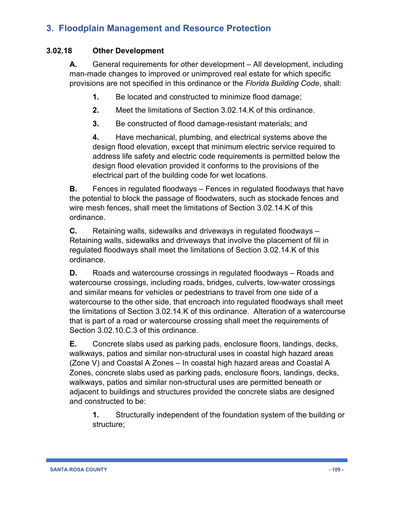### **3.02.18 Other Development**

**A.** General requirements for other development – All development, including man-made changes to improved or unimproved real estate for which specific provisions are not specified in this ordinance or the *Florida Building Code*, shall:

- **1.** Be located and constructed to minimize flood damage;
- **2.** Meet the limitations of Section 3.02.14.K of this ordinance.
- **3.** Be constructed of flood damage-resistant materials; and

**4.** Have mechanical, plumbing, and electrical systems above the design flood elevation, except that minimum electric service required to address life safety and electric code requirements is permitted below the design flood elevation provided it conforms to the provisions of the electrical part of the building code for wet locations.

**B.** Fences in regulated floodways – Fences in regulated floodways that have the potential to block the passage of floodwaters, such as stockade fences and wire mesh fences, shall meet the limitations of Section 3.02.14.K of this ordinance.

**C.** Retaining walls, sidewalks and driveways in regulated floodways – Retaining walls, sidewalks and driveways that involve the placement of fill in regulated floodways shall meet the limitations of Section 3.02.14.K of this ordinance.

**D.** Roads and watercourse crossings in regulated floodways – Roads and watercourse crossings, including roads, bridges, culverts, low-water crossings and similar means for vehicles or pedestrians to travel from one side of a watercourse to the other side, that encroach into regulated floodways shall meet the limitations of Section 3.02.14.K of this ordinance. Alteration of a watercourse that is part of a road or watercourse crossing shall meet the requirements of Section 3.02.10.C.3 of this ordinance.

**E.** Concrete slabs used as parking pads, enclosure floors, landings, decks, walkways, patios and similar non-structural uses in coastal high hazard areas (Zone V) and Coastal A Zones – In coastal high hazard areas and Coastal A Zones, concrete slabs used as parking pads, enclosure floors, landings, decks, walkways, patios and similar non-structural uses are permitted beneath or adjacent to buildings and structures provided the concrete slabs are designed and constructed to be:

**1.** Structurally independent of the foundation system of the building or structure;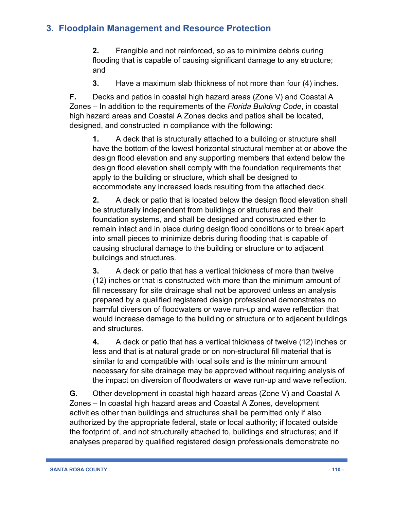**2.** Frangible and not reinforced, so as to minimize debris during flooding that is capable of causing significant damage to any structure; and

**3.** Have a maximum slab thickness of not more than four (4) inches.

**F.** Decks and patios in coastal high hazard areas (Zone V) and Coastal A Zones – In addition to the requirements of the *Florida Building Code*, in coastal high hazard areas and Coastal A Zones decks and patios shall be located, designed, and constructed in compliance with the following:

**1.** A deck that is structurally attached to a building or structure shall have the bottom of the lowest horizontal structural member at or above the design flood elevation and any supporting members that extend below the design flood elevation shall comply with the foundation requirements that apply to the building or structure, which shall be designed to accommodate any increased loads resulting from the attached deck.

**2.** A deck or patio that is located below the design flood elevation shall be structurally independent from buildings or structures and their foundation systems, and shall be designed and constructed either to remain intact and in place during design flood conditions or to break apart into small pieces to minimize debris during flooding that is capable of causing structural damage to the building or structure or to adjacent buildings and structures.

**3.** A deck or patio that has a vertical thickness of more than twelve (12) inches or that is constructed with more than the minimum amount of fill necessary for site drainage shall not be approved unless an analysis prepared by a qualified registered design professional demonstrates no harmful diversion of floodwaters or wave run-up and wave reflection that would increase damage to the building or structure or to adjacent buildings and structures.

**4.** A deck or patio that has a vertical thickness of twelve (12) inches or less and that is at natural grade or on non-structural fill material that is similar to and compatible with local soils and is the minimum amount necessary for site drainage may be approved without requiring analysis of the impact on diversion of floodwaters or wave run-up and wave reflection.

**G.** Other development in coastal high hazard areas (Zone V) and Coastal A Zones – In coastal high hazard areas and Coastal A Zones, development activities other than buildings and structures shall be permitted only if also authorized by the appropriate federal, state or local authority; if located outside the footprint of, and not structurally attached to, buildings and structures; and if analyses prepared by qualified registered design professionals demonstrate no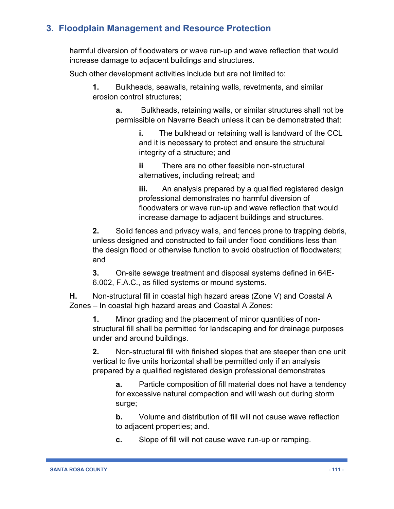harmful diversion of floodwaters or wave run-up and wave reflection that would increase damage to adjacent buildings and structures.

Such other development activities include but are not limited to:

**1.** Bulkheads, seawalls, retaining walls, revetments, and similar erosion control structures;

**a.** Bulkheads, retaining walls, or similar structures shall not be permissible on Navarre Beach unless it can be demonstrated that:

> **i.** The bulkhead or retaining wall is landward of the CCL and it is necessary to protect and ensure the structural integrity of a structure; and

**ii** There are no other feasible non-structural alternatives, including retreat; and

**iii.** An analysis prepared by a qualified registered design professional demonstrates no harmful diversion of floodwaters or wave run-up and wave reflection that would increase damage to adjacent buildings and structures.

**2.** Solid fences and privacy walls, and fences prone to trapping debris, unless designed and constructed to fail under flood conditions less than the design flood or otherwise function to avoid obstruction of floodwaters; and

**3.** On-site sewage treatment and disposal systems defined in 64E-6.002, F.A.C., as filled systems or mound systems.

**H.** Non-structural fill in coastal high hazard areas (Zone V) and Coastal A Zones – In coastal high hazard areas and Coastal A Zones:

**1.** Minor grading and the placement of minor quantities of nonstructural fill shall be permitted for landscaping and for drainage purposes under and around buildings.

**2.** Non-structural fill with finished slopes that are steeper than one unit vertical to five units horizontal shall be permitted only if an analysis prepared by a qualified registered design professional demonstrates

**a.** Particle composition of fill material does not have a tendency for excessive natural compaction and will wash out during storm surge;

**b.** Volume and distribution of fill will not cause wave reflection to adjacent properties; and.

**c.** Slope of fill will not cause wave run-up or ramping.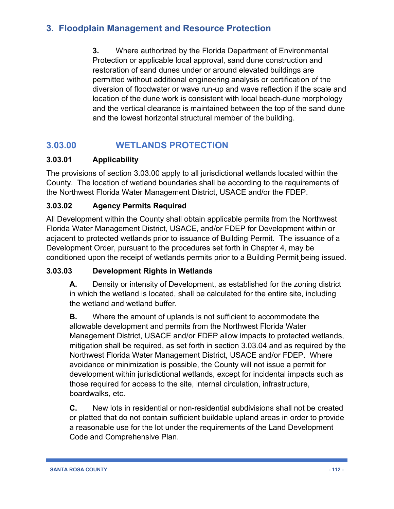**3.** Where authorized by the Florida Department of Environmental Protection or applicable local approval, sand dune construction and restoration of sand dunes under or around elevated buildings are permitted without additional engineering analysis or certification of the diversion of floodwater or wave run-up and wave reflection if the scale and location of the dune work is consistent with local beach-dune morphology and the vertical clearance is maintained between the top of the sand dune and the lowest horizontal structural member of the building.

# **3.03.00 WETLANDS PROTECTION**

### **3.03.01 Applicability**

The provisions of section 3.03.00 apply to all jurisdictional wetlands located within the County. The location of wetland boundaries shall be according to the requirements of the Northwest Florida Water Management District, USACE and/or the FDEP.

### **3.03.02 Agency Permits Required**

All Development within the County shall obtain applicable permits from the Northwest Florida Water Management District, USACE, and/or FDEP for Development within or adjacent to protected wetlands prior to issuance of Building Permit. The issuance of a Development Order, pursuant to the procedures set forth in Chapter 4, may be conditioned upon the receipt of wetlands permits prior to a Building Permit being issued.

### **3.03.03 Development Rights in Wetlands**

**A.** Density or intensity of Development, as established for the zoning district in which the wetland is located, shall be calculated for the entire site, including the wetland and wetland buffer.

**B.** Where the amount of uplands is not sufficient to accommodate the allowable development and permits from the Northwest Florida Water Management District, USACE and/or FDEP allow impacts to protected wetlands, mitigation shall be required, as set forth in section 3.03.04 and as required by the Northwest Florida Water Management District, USACE and/or FDEP. Where avoidance or minimization is possible, the County will not issue a permit for development within jurisdictional wetlands, except for incidental impacts such as those required for access to the site, internal circulation, infrastructure, boardwalks, etc.

**C.** New lots in residential or non-residential subdivisions shall not be created or platted that do not contain sufficient buildable upland areas in order to provide a reasonable use for the lot under the requirements of the Land Development Code and Comprehensive Plan.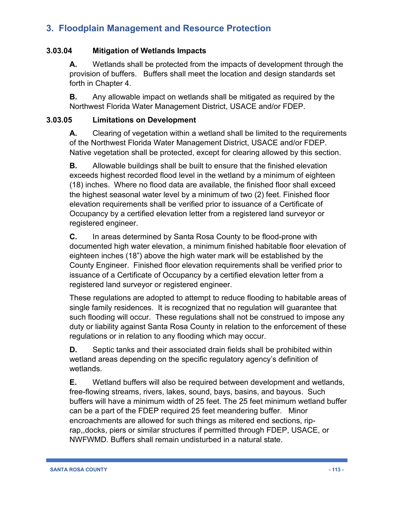### **3.03.04 Mitigation of Wetlands Impacts**

**A.** Wetlands shall be protected from the impacts of development through the provision of buffers. Buffers shall meet the location and design standards set forth in Chapter 4.

**B.** Any allowable impact on wetlands shall be mitigated as required by the Northwest Florida Water Management District, USACE and/or FDEP.

### **3.03.05 Limitations on Development**

**A.** Clearing of vegetation within a wetland shall be limited to the requirements of the Northwest Florida Water Management District, USACE and/or FDEP. Native vegetation shall be protected, except for clearing allowed by this section.

**B.** Allowable buildings shall be built to ensure that the finished elevation exceeds highest recorded flood level in the wetland by a minimum of eighteen (18) inches. Where no flood data are available, the finished floor shall exceed the highest seasonal water level by a minimum of two (2) feet. Finished floor elevation requirements shall be verified prior to issuance of a Certificate of Occupancy by a certified elevation letter from a registered land surveyor or registered engineer.

**C.** In areas determined by Santa Rosa County to be flood-prone with documented high water elevation, a minimum finished habitable floor elevation of eighteen inches (18") above the high water mark will be established by the County Engineer. Finished floor elevation requirements shall be verified prior to issuance of a Certificate of Occupancy by a certified elevation letter from a registered land surveyor or registered engineer.

These regulations are adopted to attempt to reduce flooding to habitable areas of single family residences. It is recognized that no regulation will guarantee that such flooding will occur. These regulations shall not be construed to impose any duty or liability against Santa Rosa County in relation to the enforcement of these regulations or in relation to any flooding which may occur.

**D.** Septic tanks and their associated drain fields shall be prohibited within wetland areas depending on the specific regulatory agency's definition of wetlands.

**E.** Wetland buffers will also be required between development and wetlands, free-flowing streams, rivers, lakes, sound, bays, basins, and bayous. Such buffers will have a minimum width of 25 feet. The 25 feet minimum wetland buffer can be a part of the FDEP required 25 feet meandering buffer. Minor encroachments are allowed for such things as mitered end sections, riprap,,docks, piers or similar structures if permitted through FDEP, USACE, or NWFWMD. Buffers shall remain undisturbed in a natural state.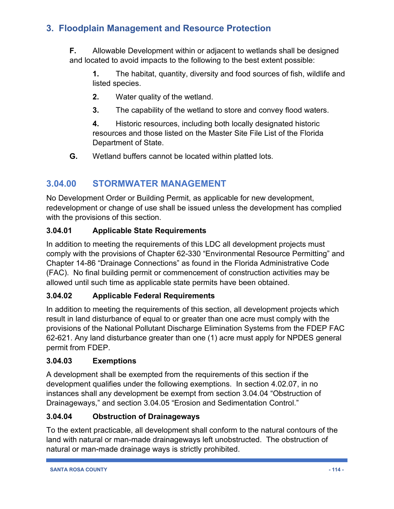**F.** Allowable Development within or adjacent to wetlands shall be designed and located to avoid impacts to the following to the best extent possible:

**1.** The habitat, quantity, diversity and food sources of fish, wildlife and listed species.

- **2.** Water quality of the wetland.
- **3.** The capability of the wetland to store and convey flood waters.

**4.** Historic resources, including both locally designated historic resources and those listed on the Master Site File List of the Florida Department of State.

**G.** Wetland buffers cannot be located within platted lots.

# **3.04.00 STORMWATER MANAGEMENT**

No Development Order or Building Permit, as applicable for new development, redevelopment or change of use shall be issued unless the development has complied with the provisions of this section.

### **3.04.01 Applicable State Requirements**

In addition to meeting the requirements of this LDC all development projects must comply with the provisions of Chapter 62-330 "Environmental Resource Permitting" and Chapter 14-86 "Drainage Connections" as found in the Florida Administrative Code (FAC). No final building permit or commencement of construction activities may be allowed until such time as applicable state permits have been obtained.

### **3.04.02 Applicable Federal Requirements**

In addition to meeting the requirements of this section, all development projects which result in land disturbance of equal to or greater than one acre must comply with the provisions of the National Pollutant Discharge Elimination Systems from the FDEP FAC 62-621. Any land disturbance greater than one (1) acre must apply for NPDES general permit from FDEP.

### **3.04.03 Exemptions**

A development shall be exempted from the requirements of this section if the development qualifies under the following exemptions. In section 4.02.07, in no instances shall any development be exempt from section 3.04.04 "Obstruction of Drainageways," and section 3.04.05 "Erosion and Sedimentation Control."

### **3.04.04 Obstruction of Drainageways**

To the extent practicable, all development shall conform to the natural contours of the land with natural or man-made drainageways left unobstructed. The obstruction of natural or man-made drainage ways is strictly prohibited.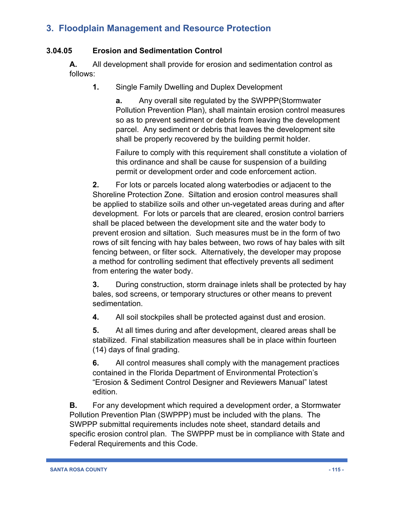### **3.04.05 Erosion and Sedimentation Control**

**A.** All development shall provide for erosion and sedimentation control as follows:

**1.** Single Family Dwelling and Duplex Development

**a.** Any overall site regulated by the SWPPP(Stormwater Pollution Prevention Plan), shall maintain erosion control measures so as to prevent sediment or debris from leaving the development parcel. Any sediment or debris that leaves the development site shall be properly recovered by the building permit holder.

Failure to comply with this requirement shall constitute a violation of this ordinance and shall be cause for suspension of a building permit or development order and code enforcement action.

**2.** For lots or parcels located along waterbodies or adjacent to the Shoreline Protection Zone. Siltation and erosion control measures shall be applied to stabilize soils and other un-vegetated areas during and after development. For lots or parcels that are cleared, erosion control barriers shall be placed between the development site and the water body to prevent erosion and siltation. Such measures must be in the form of two rows of silt fencing with hay bales between, two rows of hay bales with silt fencing between, or filter sock. Alternatively, the developer may propose a method for controlling sediment that effectively prevents all sediment from entering the water body.

**3.** During construction, storm drainage inlets shall be protected by hay bales, sod screens, or temporary structures or other means to prevent sedimentation.

**4.** All soil stockpiles shall be protected against dust and erosion.

**5.** At all times during and after development, cleared areas shall be stabilized. Final stabilization measures shall be in place within fourteen (14) days of final grading.

**6.** All control measures shall comply with the management practices contained in the Florida Department of Environmental Protection's "Erosion & Sediment Control Designer and Reviewers Manual" latest edition.

**B.** For any development which required a development order, a Stormwater Pollution Prevention Plan (SWPPP) must be included with the plans. The SWPPP submittal requirements includes note sheet, standard details and specific erosion control plan. The SWPPP must be in compliance with State and Federal Requirements and this Code.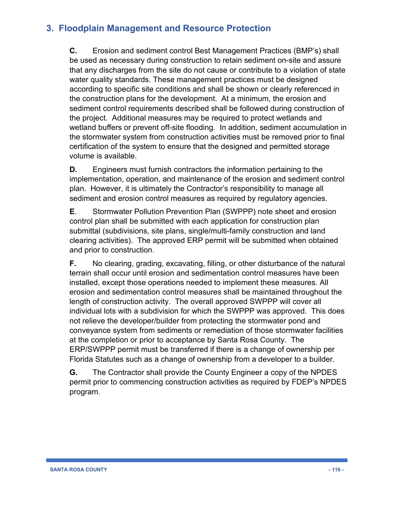**C.** Erosion and sediment control Best Management Practices (BMP's) shall be used as necessary during construction to retain sediment on-site and assure that any discharges from the site do not cause or contribute to a violation of state water quality standards. These management practices must be designed according to specific site conditions and shall be shown or clearly referenced in the construction plans for the development. At a minimum, the erosion and sediment control requirements described shall be followed during construction of the project. Additional measures may be required to protect wetlands and wetland buffers or prevent off-site flooding. In addition, sediment accumulation in the stormwater system from construction activities must be removed prior to final certification of the system to ensure that the designed and permitted storage volume is available.

**D.** Engineers must furnish contractors the information pertaining to the implementation, operation, and maintenance of the erosion and sediment control plan. However, it is ultimately the Contractor's responsibility to manage all sediment and erosion control measures as required by regulatory agencies.

**E**. Stormwater Pollution Prevention Plan (SWPPP) note sheet and erosion control plan shall be submitted with each application for construction plan submittal (subdivisions, site plans, single/multi-family construction and land clearing activities). The approved ERP permit will be submitted when obtained and prior to construction.

**F.** No clearing, grading, excavating, filling, or other disturbance of the natural terrain shall occur until erosion and sedimentation control measures have been installed, except those operations needed to implement these measures. All erosion and sedimentation control measures shall be maintained throughout the length of construction activity. The overall approved SWPPP will cover all individual lots with a subdivision for which the SWPPP was approved. This does not relieve the developer/builder from protecting the stormwater pond and conveyance system from sediments or remediation of those stormwater facilities at the completion or prior to acceptance by Santa Rosa County. The ERP/SWPPP permit must be transferred if there is a change of ownership per Florida Statutes such as a change of ownership from a developer to a builder.

**G.** The Contractor shall provide the County Engineer a copy of the NPDES permit prior to commencing construction activities as required by FDEP's NPDES program.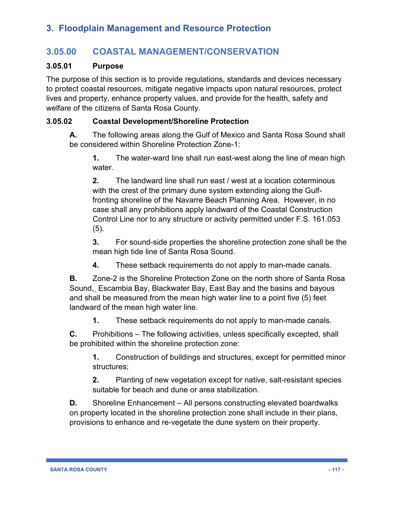# **3.05.00 COASTAL MANAGEMENT/CONSERVATION**

#### **3.05.01 Purpose**

The purpose of this section is to provide regulations, standards and devices necessary to protect coastal resources, mitigate negative impacts upon natural resources, protect lives and property, enhance property values, and provide for the health, safety and welfare of the citizens of Santa Rosa County.

#### **3.05.02 Coastal Development/Shoreline Protection**

**A.** The following areas along the Gulf of Mexico and Santa Rosa Sound shall be considered within Shoreline Protection Zone-1:

**1.** The water-ward line shall run east-west along the line of mean high water.

**2.** The landward line shall run east / west at a location coterminous with the crest of the primary dune system extending along the Gulffronting shoreline of the Navarre Beach Planning Area. However, in no case shall any prohibitions apply landward of the Coastal Construction Control Line nor to any structure or activity permitted under F.S. 161.053 (5).

**3.** For sound-side properties the shoreline protection zone shall be the mean high tide line of Santa Rosa Sound.

**4.** These setback requirements do not apply to man-made canals.

**B.** Zone-2 is the Shoreline Protection Zone on the north shore of Santa Rosa Sound, Escambia Bay, Blackwater Bay, East Bay and the basins and bayous and shall be measured from the mean high water line to a point five (5) feet landward of the mean high water line.

**1.** These setback requirements do not apply to man-made canals.

**C.** Prohibitions – The following activities, unless specifically excepted, shall be prohibited within the shoreline protection zone:

**1.** Construction of buildings and structures, except for permitted minor structures;

**2.** Planting of new vegetation except for native, salt-resistant species suitable for beach and dune or area stabilization.

**D.** Shoreline Enhancement – All persons constructing elevated boardwalks on property located in the shoreline protection zone shall include in their plans, provisions to enhance and re-vegetate the dune system on their property.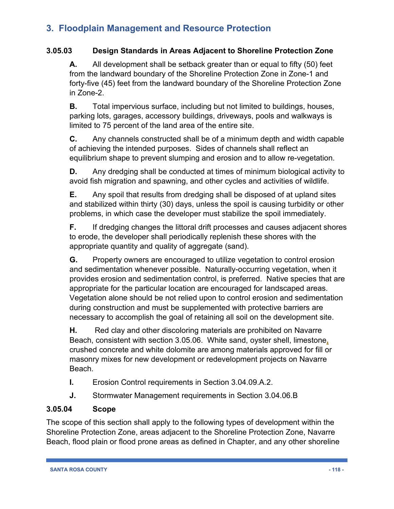### **3.05.03 Design Standards in Areas Adjacent to Shoreline Protection Zone**

**A.** All development shall be setback greater than or equal to fifty (50) feet from the landward boundary of the Shoreline Protection Zone in Zone-1 and forty-five (45) feet from the landward boundary of the Shoreline Protection Zone in Zone-2.

**B.** Total impervious surface, including but not limited to buildings, houses, parking lots, garages, accessory buildings, driveways, pools and walkways is limited to 75 percent of the land area of the entire site.

**C.** Any channels constructed shall be of a minimum depth and width capable of achieving the intended purposes. Sides of channels shall reflect an equilibrium shape to prevent slumping and erosion and to allow re-vegetation.

**D.** Any dredging shall be conducted at times of minimum biological activity to avoid fish migration and spawning, and other cycles and activities of wildlife.

**E.** Any spoil that results from dredging shall be disposed of at upland sites and stabilized within thirty (30) days, unless the spoil is causing turbidity or other problems, in which case the developer must stabilize the spoil immediately.

**F.** If dredging changes the littoral drift processes and causes adjacent shores to erode, the developer shall periodically replenish these shores with the appropriate quantity and quality of aggregate (sand).

**G.** Property owners are encouraged to utilize vegetation to control erosion and sedimentation whenever possible. Naturally-occurring vegetation, when it provides erosion and sedimentation control, is preferred. Native species that are appropriate for the particular location are encouraged for landscaped areas. Vegetation alone should be not relied upon to control erosion and sedimentation during construction and must be supplemented with protective barriers are necessary to accomplish the goal of retaining all soil on the development site.

**H.** Red clay and other discoloring materials are prohibited on Navarre Beach, consistent with section 3.05.06. White sand, oyster shell, limestone**,**  crushed concrete and white dolomite are among materials approved for fill or masonry mixes for new development or redevelopment projects on Navarre Beach.

- **I.** Erosion Control requirements in Section 3.04.09.A.2.
- **J.** Stormwater Management requirements in Section 3.04.06.B

### **3.05.04 Scope**

The scope of this section shall apply to the following types of development within the Shoreline Protection Zone, areas adjacent to the Shoreline Protection Zone, Navarre Beach, flood plain or flood prone areas as defined in Chapter, and any other shoreline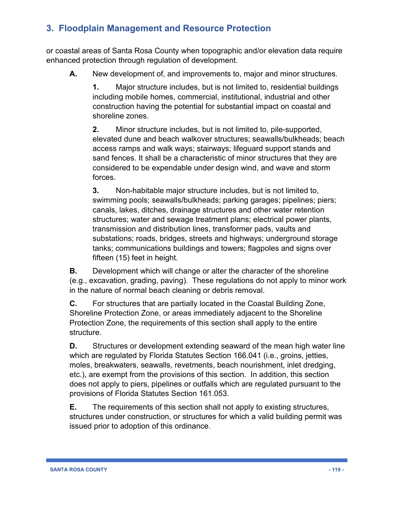or coastal areas of Santa Rosa County when topographic and/or elevation data require enhanced protection through regulation of development.

**A.** New development of, and improvements to, major and minor structures.

**1.** Major structure includes, but is not limited to, residential buildings including mobile homes, commercial, institutional, industrial and other construction having the potential for substantial impact on coastal and shoreline zones.

**2.** Minor structure includes, but is not limited to, pile-supported, elevated dune and beach walkover structures; seawalls/bulkheads; beach access ramps and walk ways; stairways; lifeguard support stands and sand fences. It shall be a characteristic of minor structures that they are considered to be expendable under design wind, and wave and storm forces.

**3.** Non-habitable major structure includes, but is not limited to, swimming pools; seawalls/bulkheads; parking garages; pipelines; piers; canals, lakes, ditches, drainage structures and other water retention structures; water and sewage treatment plans; electrical power plants, transmission and distribution lines, transformer pads, vaults and substations; roads, bridges, streets and highways; underground storage tanks; communications buildings and towers; flagpoles and signs over fifteen (15) feet in height.

**B.** Development which will change or alter the character of the shoreline (e.g., excavation, grading, paving). These regulations do not apply to minor work in the nature of normal beach cleaning or debris removal.

**C.** For structures that are partially located in the Coastal Building Zone, Shoreline Protection Zone, or areas immediately adjacent to the Shoreline Protection Zone, the requirements of this section shall apply to the entire structure.

**D.** Structures or development extending seaward of the mean high water line which are regulated by Florida Statutes Section 166.041 (i.e., groins, jetties, moles, breakwaters, seawalls, revetments, beach nourishment, inlet dredging, etc.), are exempt from the provisions of this section. In addition, this section does not apply to piers, pipelines or outfalls which are regulated pursuant to the provisions of Florida Statutes Section 161.053.

**E.** The requirements of this section shall not apply to existing structures, structures under construction, or structures for which a valid building permit was issued prior to adoption of this ordinance.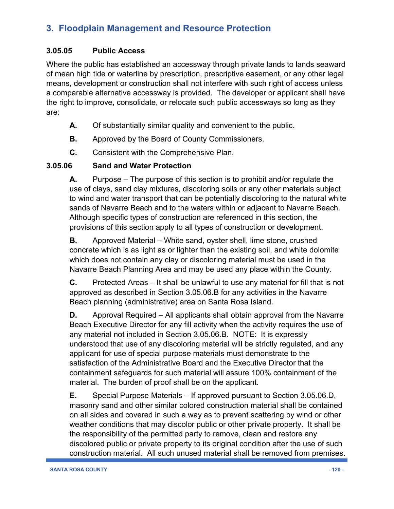### **3.05.05 Public Access**

Where the public has established an accessway through private lands to lands seaward of mean high tide or waterline by prescription, prescriptive easement, or any other legal means, development or construction shall not interfere with such right of access unless a comparable alternative accessway is provided. The developer or applicant shall have the right to improve, consolidate, or relocate such public accessways so long as they are:

- **A.** Of substantially similar quality and convenient to the public.
- **B.** Approved by the Board of County Commissioners.
- **C.** Consistent with the Comprehensive Plan.

### **3.05.06 Sand and Water Protection**

**A.** Purpose – The purpose of this section is to prohibit and/or regulate the use of clays, sand clay mixtures, discoloring soils or any other materials subject to wind and water transport that can be potentially discoloring to the natural white sands of Navarre Beach and to the waters within or adjacent to Navarre Beach. Although specific types of construction are referenced in this section, the provisions of this section apply to all types of construction or development.

**B.** Approved Material – White sand, oyster shell, lime stone, crushed concrete which is as light as or lighter than the existing soil, and white dolomite which does not contain any clay or discoloring material must be used in the Navarre Beach Planning Area and may be used any place within the County.

**C.** Protected Areas – It shall be unlawful to use any material for fill that is not approved as described in Section 3.05.06.B for any activities in the Navarre Beach planning (administrative) area on Santa Rosa Island.

**D.** Approval Required – All applicants shall obtain approval from the Navarre Beach Executive Director for any fill activity when the activity requires the use of any material not included in Section 3.05.06.B. NOTE: It is expressly understood that use of any discoloring material will be strictly regulated, and any applicant for use of special purpose materials must demonstrate to the satisfaction of the Administrative Board and the Executive Director that the containment safeguards for such material will assure 100% containment of the material. The burden of proof shall be on the applicant.

**E.** Special Purpose Materials – If approved pursuant to Section 3.05.06.D, masonry sand and other similar colored construction material shall be contained on all sides and covered in such a way as to prevent scattering by wind or other weather conditions that may discolor public or other private property. It shall be the responsibility of the permitted party to remove, clean and restore any discolored public or private property to its original condition after the use of such construction material. All such unused material shall be removed from premises.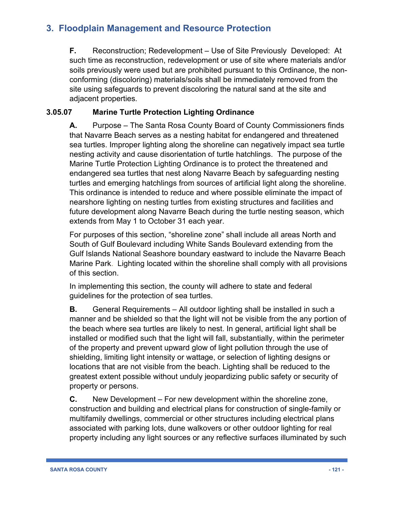**F.** Reconstruction; Redevelopment – Use of Site Previously Developed: At such time as reconstruction, redevelopment or use of site where materials and/or soils previously were used but are prohibited pursuant to this Ordinance, the nonconforming (discoloring) materials/soils shall be immediately removed from the site using safeguards to prevent discoloring the natural sand at the site and adjacent properties.

### **3.05.07 Marine Turtle Protection Lighting Ordinance**

**A.** Purpose – The Santa Rosa County Board of County Commissioners finds that Navarre Beach serves as a nesting habitat for endangered and threatened sea turtles. Improper lighting along the shoreline can negatively impact sea turtle nesting activity and cause disorientation of turtle hatchlings. The purpose of the Marine Turtle Protection Lighting Ordinance is to protect the threatened and endangered sea turtles that nest along Navarre Beach by safeguarding nesting turtles and emerging hatchlings from sources of artificial light along the shoreline. This ordinance is intended to reduce and where possible eliminate the impact of nearshore lighting on nesting turtles from existing structures and facilities and future development along Navarre Beach during the turtle nesting season, which extends from May 1 to October 31 each year.

For purposes of this section, "shoreline zone" shall include all areas North and South of Gulf Boulevard including White Sands Boulevard extending from the Gulf Islands National Seashore boundary eastward to include the Navarre Beach Marine Park. Lighting located within the shoreline shall comply with all provisions of this section.

In implementing this section, the county will adhere to state and federal guidelines for the protection of sea turtles.

**B.** General Requirements – All outdoor lighting shall be installed in such a manner and be shielded so that the light will not be visible from the any portion of the beach where sea turtles are likely to nest. In general, artificial light shall be installed or modified such that the light will fall, substantially, within the perimeter of the property and prevent upward glow of light pollution through the use of shielding, limiting light intensity or wattage, or selection of lighting designs or locations that are not visible from the beach. Lighting shall be reduced to the greatest extent possible without unduly jeopardizing public safety or security of property or persons.

**C.** New Development – For new development within the shoreline zone, construction and building and electrical plans for construction of single-family or multifamily dwellings, commercial or other structures including electrical plans associated with parking lots, dune walkovers or other outdoor lighting for real property including any light sources or any reflective surfaces illuminated by such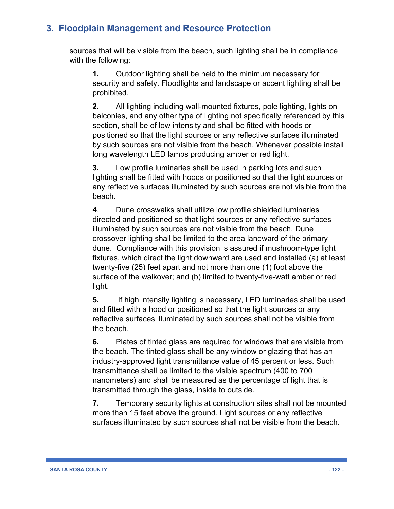sources that will be visible from the beach, such lighting shall be in compliance with the following:

**1.** Outdoor lighting shall be held to the minimum necessary for security and safety. Floodlights and landscape or accent lighting shall be prohibited.

**2.** All lighting including wall-mounted fixtures, pole lighting, lights on balconies, and any other type of lighting not specifically referenced by this section, shall be of low intensity and shall be fitted with hoods or positioned so that the light sources or any reflective surfaces illuminated by such sources are not visible from the beach. Whenever possible install long wavelength LED lamps producing amber or red light.

**3.** Low profile luminaries shall be used in parking lots and such lighting shall be fitted with hoods or positioned so that the light sources or any reflective surfaces illuminated by such sources are not visible from the beach.

**4**. Dune crosswalks shall utilize low profile shielded luminaries directed and positioned so that light sources or any reflective surfaces illuminated by such sources are not visible from the beach. Dune crossover lighting shall be limited to the area landward of the primary dune. Compliance with this provision is assured if mushroom-type light fixtures, which direct the light downward are used and installed (a) at least twenty-five (25) feet apart and not more than one (1) foot above the surface of the walkover; and (b) limited to twenty-five-watt amber or red light.

**5.** If high intensity lighting is necessary, LED luminaries shall be used and fitted with a hood or positioned so that the light sources or any reflective surfaces illuminated by such sources shall not be visible from the beach.

**6.** Plates of tinted glass are required for windows that are visible from the beach. The tinted glass shall be any window or glazing that has an industry-approved light transmittance value of 45 percent or less. Such transmittance shall be limited to the visible spectrum (400 to 700 nanometers) and shall be measured as the percentage of light that is transmitted through the glass, inside to outside.

**7.** Temporary security lights at construction sites shall not be mounted more than 15 feet above the ground. Light sources or any reflective surfaces illuminated by such sources shall not be visible from the beach.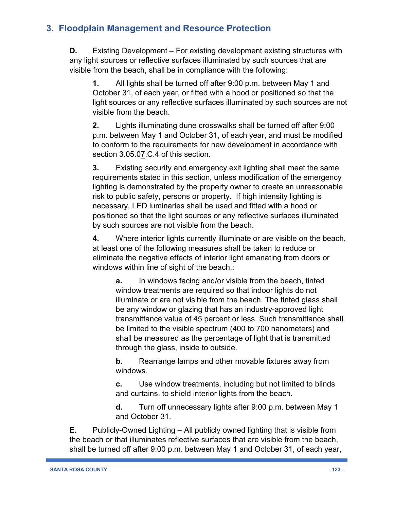**D.** Existing Development – For existing development existing structures with any light sources or reflective surfaces illuminated by such sources that are visible from the beach, shall be in compliance with the following:

**1.** All lights shall be turned off after 9:00 p.m. between May 1 and October 31, of each year, or fitted with a hood or positioned so that the light sources or any reflective surfaces illuminated by such sources are not visible from the beach.

**2.** Lights illuminating dune crosswalks shall be turned off after 9:00 p.m. between May 1 and October 31, of each year, and must be modified to conform to the requirements for new development in accordance with section 3.05.07.C.4 of this section.

**3.** Existing security and emergency exit lighting shall meet the same requirements stated in this section, unless modification of the emergency lighting is demonstrated by the property owner to create an unreasonable risk to public safety, persons or property. If high intensity lighting is necessary, LED luminaries shall be used and fitted with a hood or positioned so that the light sources or any reflective surfaces illuminated by such sources are not visible from the beach.

**4.** Where interior lights currently illuminate or are visible on the beach, at least one of the following measures shall be taken to reduce or eliminate the negative effects of interior light emanating from doors or windows within line of sight of the beach,:

**a.** In windows facing and/or visible from the beach, tinted window treatments are required so that indoor lights do not illuminate or are not visible from the beach. The tinted glass shall be any window or glazing that has an industry-approved light transmittance value of 45 percent or less. Such transmittance shall be limited to the visible spectrum (400 to 700 nanometers) and shall be measured as the percentage of light that is transmitted through the glass, inside to outside.

**b.** Rearrange lamps and other movable fixtures away from windows.

**c.** Use window treatments, including but not limited to blinds and curtains, to shield interior lights from the beach.

**d.** Turn off unnecessary lights after 9:00 p.m. between May 1 and October 31.

**E.** Publicly-Owned Lighting – All publicly owned lighting that is visible from the beach or that illuminates reflective surfaces that are visible from the beach, shall be turned off after 9:00 p.m. between May 1 and October 31, of each year,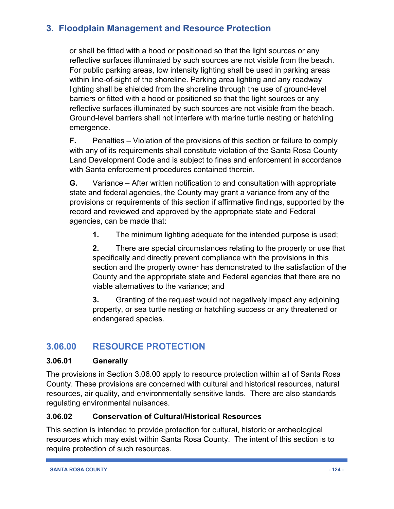or shall be fitted with a hood or positioned so that the light sources or any reflective surfaces illuminated by such sources are not visible from the beach. For public parking areas, low intensity lighting shall be used in parking areas within line-of-sight of the shoreline. Parking area lighting and any roadway lighting shall be shielded from the shoreline through the use of ground-level barriers or fitted with a hood or positioned so that the light sources or any reflective surfaces illuminated by such sources are not visible from the beach. Ground-level barriers shall not interfere with marine turtle nesting or hatchling emergence.

**F.** Penalties – Violation of the provisions of this section or failure to comply with any of its requirements shall constitute violation of the Santa Rosa County Land Development Code and is subject to fines and enforcement in accordance with Santa enforcement procedures contained therein.

**G.** Variance – After written notification to and consultation with appropriate state and federal agencies, the County may grant a variance from any of the provisions or requirements of this section if affirmative findings, supported by the record and reviewed and approved by the appropriate state and Federal agencies, can be made that:

**1.** The minimum lighting adequate for the intended purpose is used;

**2.** There are special circumstances relating to the property or use that specifically and directly prevent compliance with the provisions in this section and the property owner has demonstrated to the satisfaction of the County and the appropriate state and Federal agencies that there are no viable alternatives to the variance; and

**3.** Granting of the request would not negatively impact any adjoining property, or sea turtle nesting or hatchling success or any threatened or endangered species.

# **3.06.00 RESOURCE PROTECTION**

### **3.06.01 Generally**

The provisions in Section 3.06.00 apply to resource protection within all of Santa Rosa County. These provisions are concerned with cultural and historical resources, natural resources, air quality, and environmentally sensitive lands. There are also standards regulating environmental nuisances.

### **3.06.02 Conservation of Cultural/Historical Resources**

This section is intended to provide protection for cultural, historic or archeological resources which may exist within Santa Rosa County. The intent of this section is to require protection of such resources.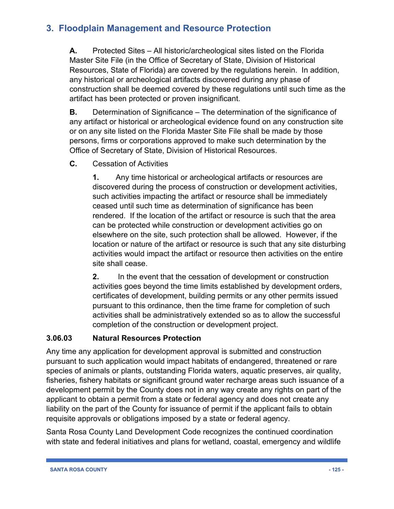**A.** Protected Sites – All historic/archeological sites listed on the Florida Master Site File (in the Office of Secretary of State, Division of Historical Resources, State of Florida) are covered by the regulations herein. In addition, any historical or archeological artifacts discovered during any phase of construction shall be deemed covered by these regulations until such time as the artifact has been protected or proven insignificant.

**B.** Determination of Significance – The determination of the significance of any artifact or historical or archeological evidence found on any construction site or on any site listed on the Florida Master Site File shall be made by those persons, firms or corporations approved to make such determination by the Office of Secretary of State, Division of Historical Resources.

**C.** Cessation of Activities

**1.** Any time historical or archeological artifacts or resources are discovered during the process of construction or development activities, such activities impacting the artifact or resource shall be immediately ceased until such time as determination of significance has been rendered. If the location of the artifact or resource is such that the area can be protected while construction or development activities go on elsewhere on the site, such protection shall be allowed. However, if the location or nature of the artifact or resource is such that any site disturbing activities would impact the artifact or resource then activities on the entire site shall cease.

**2.** In the event that the cessation of development or construction activities goes beyond the time limits established by development orders, certificates of development, building permits or any other permits issued pursuant to this ordinance, then the time frame for completion of such activities shall be administratively extended so as to allow the successful completion of the construction or development project.

### **3.06.03 Natural Resources Protection**

Any time any application for development approval is submitted and construction pursuant to such application would impact habitats of endangered, threatened or rare species of animals or plants, outstanding Florida waters, aquatic preserves, air quality, fisheries, fishery habitats or significant ground water recharge areas such issuance of a development permit by the County does not in any way create any rights on part of the applicant to obtain a permit from a state or federal agency and does not create any liability on the part of the County for issuance of permit if the applicant fails to obtain requisite approvals or obligations imposed by a state or federal agency.

Santa Rosa County Land Development Code recognizes the continued coordination with state and federal initiatives and plans for wetland, coastal, emergency and wildlife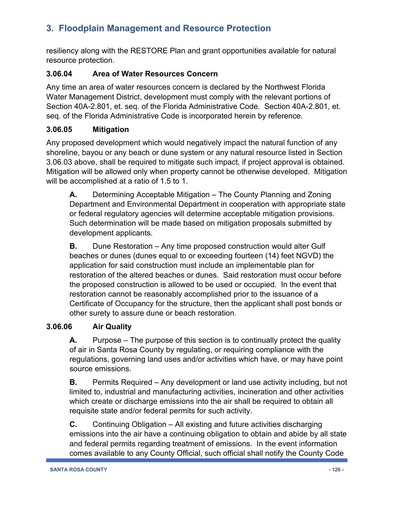resiliency along with the RESTORE Plan and grant opportunities available for natural resource protection.

### **3.06.04 Area of Water Resources Concern**

Any time an area of water resources concern is declared by the Northwest Florida Water Management District, development must comply with the relevant portions of Section 40A-2.801, et. seq. of the Florida Administrative Code. Section 40A-2.801, et. seq. of the Florida Administrative Code is incorporated herein by reference.

### **3.06.05 Mitigation**

Any proposed development which would negatively impact the natural function of any shoreline, bayou or any beach or dune system or any natural resource listed in Section 3.06.03 above, shall be required to mitigate such impact, if project approval is obtained. Mitigation will be allowed only when property cannot be otherwise developed. Mitigation will be accomplished at a ratio of 1.5 to 1.

**A.** Determining Acceptable Mitigation – The County Planning and Zoning Department and Environmental Department in cooperation with appropriate state or federal regulatory agencies will determine acceptable mitigation provisions. Such determination will be made based on mitigation proposals submitted by development applicants.

**B.** Dune Restoration – Any time proposed construction would alter Gulf beaches or dunes (dunes equal to or exceeding fourteen (14) feet NGVD) the application for said construction must include an implementable plan for restoration of the altered beaches or dunes. Said restoration must occur before the proposed construction is allowed to be used or occupied. In the event that restoration cannot be reasonably accomplished prior to the issuance of a Certificate of Occupancy for the structure, then the applicant shall post bonds or other surety to assure dune or beach restoration.

### **3.06.06 Air Quality**

**A.** Purpose – The purpose of this section is to continually protect the quality of air in Santa Rosa County by regulating, or requiring compliance with the regulations, governing land uses and/or activities which have, or may have point source emissions.

**B.** Permits Required – Any development or land use activity including, but not limited to, industrial and manufacturing activities, incineration and other activities which create or discharge emissions into the air shall be required to obtain all requisite state and/or federal permits for such activity.

**C.** Continuing Obligation – All existing and future activities discharging emissions into the air have a continuing obligation to obtain and abide by all state and federal permits regarding treatment of emissions. In the event information comes available to any County Official, such official shall notify the County Code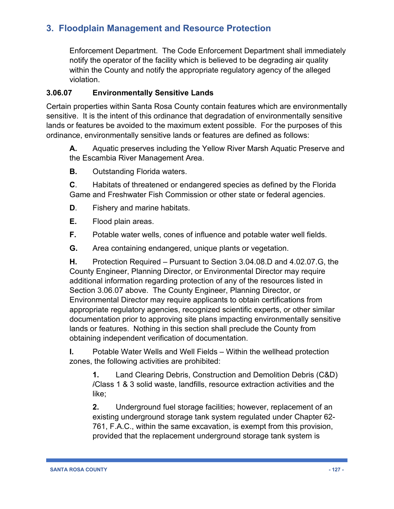Enforcement Department. The Code Enforcement Department shall immediately notify the operator of the facility which is believed to be degrading air quality within the County and notify the appropriate regulatory agency of the alleged violation.

### **3.06.07 Environmentally Sensitive Lands**

Certain properties within Santa Rosa County contain features which are environmentally sensitive. It is the intent of this ordinance that degradation of environmentally sensitive lands or features be avoided to the maximum extent possible. For the purposes of this ordinance, environmentally sensitive lands or features are defined as follows:

**A.** Aquatic preserves including the Yellow River Marsh Aquatic Preserve and the Escambia River Management Area.

**B.** Outstanding Florida waters.

**C**. Habitats of threatened or endangered species as defined by the Florida Game and Freshwater Fish Commission or other state or federal agencies.

- **D**. Fishery and marine habitats.
- **E.** Flood plain areas.
- **F.** Potable water wells, cones of influence and potable water well fields.
- **G.** Area containing endangered, unique plants or vegetation.

**H.** Protection Required – Pursuant to Section 3.04.08.D and 4.02.07.G, the County Engineer, Planning Director, or Environmental Director may require additional information regarding protection of any of the resources listed in Section 3.06.07 above. The County Engineer, Planning Director, or Environmental Director may require applicants to obtain certifications from appropriate regulatory agencies, recognized scientific experts, or other similar documentation prior to approving site plans impacting environmentally sensitive lands or features. Nothing in this section shall preclude the County from obtaining independent verification of documentation.

**I.** Potable Water Wells and Well Fields – Within the wellhead protection zones, the following activities are prohibited:

**1.** Land Clearing Debris, Construction and Demolition Debris (C&D) /Class 1 & 3 solid waste, landfills, resource extraction activities and the like;

**2.** Underground fuel storage facilities; however, replacement of an existing underground storage tank system regulated under Chapter 62- 761, F.A.C., within the same excavation, is exempt from this provision, provided that the replacement underground storage tank system is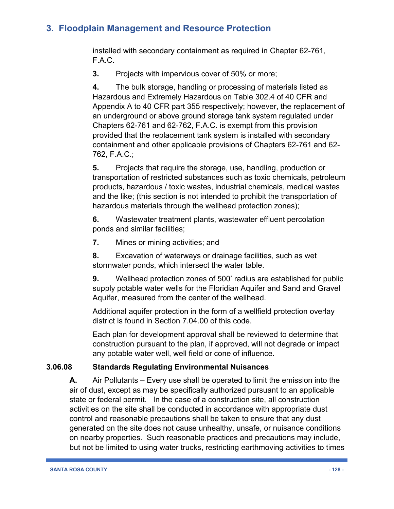installed with secondary containment as required in Chapter 62-761, F.A.C.

**3.** Projects with impervious cover of 50% or more;

**4.** The bulk storage, handling or processing of materials listed as Hazardous and Extremely Hazardous on Table 302.4 of 40 CFR and Appendix A to 40 CFR part 355 respectively; however, the replacement of an underground or above ground storage tank system regulated under Chapters 62-761 and 62-762, F.A.C. is exempt from this provision provided that the replacement tank system is installed with secondary containment and other applicable provisions of Chapters 62-761 and 62- 762, F.A.C.;

**5.** Projects that require the storage, use, handling, production or transportation of restricted substances such as toxic chemicals, petroleum products, hazardous / toxic wastes, industrial chemicals, medical wastes and the like; (this section is not intended to prohibit the transportation of hazardous materials through the wellhead protection zones);

**6.** Wastewater treatment plants, wastewater effluent percolation ponds and similar facilities;

**7.** Mines or mining activities; and

**8.** Excavation of waterways or drainage facilities, such as wet stormwater ponds, which intersect the water table.

**9.** Wellhead protection zones of 500' radius are established for public supply potable water wells for the Floridian Aquifer and Sand and Gravel Aquifer, measured from the center of the wellhead.

Additional aquifer protection in the form of a wellfield protection overlay district is found in Section 7.04.00 of this code.

Each plan for development approval shall be reviewed to determine that construction pursuant to the plan, if approved, will not degrade or impact any potable water well, well field or cone of influence.

### **3.06.08 Standards Regulating Environmental Nuisances**

**A.** Air Pollutants – Every use shall be operated to limit the emission into the air of dust, except as may be specifically authorized pursuant to an applicable state or federal permit. In the case of a construction site, all construction activities on the site shall be conducted in accordance with appropriate dust control and reasonable precautions shall be taken to ensure that any dust generated on the site does not cause unhealthy, unsafe, or nuisance conditions on nearby properties. Such reasonable practices and precautions may include, but not be limited to using water trucks, restricting earthmoving activities to times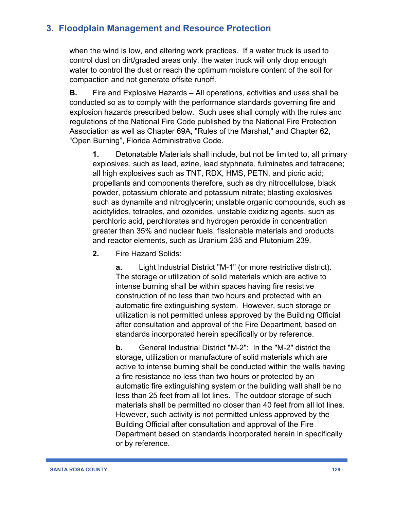when the wind is low, and altering work practices. If a water truck is used to control dust on dirt/graded areas only, the water truck will only drop enough water to control the dust or reach the optimum moisture content of the soil for compaction and not generate offsite runoff.

**B.** Fire and Explosive Hazards – All operations, activities and uses shall be conducted so as to comply with the performance standards governing fire and explosion hazards prescribed below. Such uses shall comply with the rules and regulations of the National Fire Code published by the National Fire Protection Association as well as Chapter 69A, "Rules of the Marshal," and Chapter 62, "Open Burning", Florida Administrative Code.

**1.** Detonatable Materials shall include, but not be limited to, all primary explosives, such as lead, azine, lead styphnate, fulminates and tetracene; all high explosives such as TNT, RDX, HMS, PETN, and picric acid; propellants and components therefore, such as dry nitrocellulose, black powder, potassium chlorate and potassium nitrate; blasting explosives such as dynamite and nitroglycerin; unstable organic compounds, such as acidtylides, tetraoles, and ozonides, unstable oxidizing agents, such as perchloric acid, perchlorates and hydrogen peroxide in concentration greater than 35% and nuclear fuels, fissionable materials and products and reactor elements, such as Uranium 235 and Plutonium 239.

**2.** Fire Hazard Solids:

**a.** Light Industrial District "M-1" (or more restrictive district). The storage or utilization of solid materials which are active to intense burning shall be within spaces having fire resistive construction of no less than two hours and protected with an automatic fire extinguishing system. However, such storage or utilization is not permitted unless approved by the Building Official after consultation and approval of the Fire Department, based on standards incorporated herein specifically or by reference.

**b.** General Industrial District "M-2": In the "M-2" district the storage, utilization or manufacture of solid materials which are active to intense burning shall be conducted within the walls having a fire resistance no less than two hours or protected by an automatic fire extinguishing system or the building wall shall be no less than 25 feet from all lot lines. The outdoor storage of such materials shall be permitted no closer than 40 feet from all lot lines. However, such activity is not permitted unless approved by the Building Official after consultation and approval of the Fire Department based on standards incorporated herein in specifically or by reference.